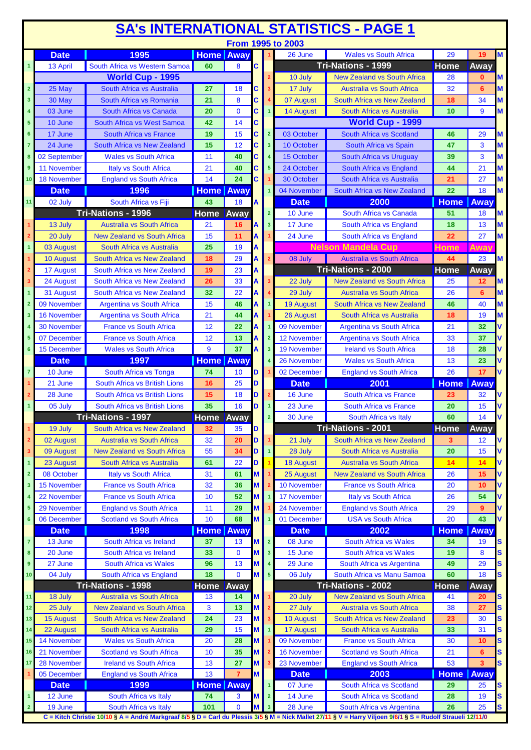| From 1995 to 2003<br>1995<br>M<br><b>Home</b> Away<br><b>Date</b><br>26 June<br><b>Wales vs South Africa</b><br>29<br>19<br>Tri-Nations - 1999<br>South Africa vs Western Samoa<br>8<br>Home<br>60<br><b>C</b><br>Away<br>13 April<br>$\mathbf{1}$<br>World Cup - 1995<br><b>New Zealand vs South Africa</b><br>M<br>28<br>10 July<br>$\mathbf{0}$<br>25 May<br>South Africa vs Australia<br>17 July<br><b>Australia vs South Africa</b><br>32<br>M<br>$\overline{2}$<br>27<br>18<br>6<br>C<br>3<br>8<br>$\mathbf{3}$<br>30 May<br>South Africa vs Romania<br>21<br>07 August<br>South Africa vs New Zealand<br>18<br>34<br>M<br>С<br>$\mathbf{0}$<br>9<br>03 June<br>South Africa vs Canada<br>20<br><b>14 August</b><br>South Africa vs Australia<br>10<br>M<br>4<br>С<br><b>World Cup - 1999</b><br>10 June<br>South Africa vs West Samoa<br>14<br>$5\phantom{.0}$<br>42<br>C<br>15<br>17 June<br>19<br>Ć<br>03 October<br>South Africa vs Scotland<br>South Africa vs France<br>$\overline{2}$<br>29<br>6<br>46<br>М<br>24 June<br>15<br>12<br>Ć<br>3<br>South Africa vs New Zealand<br>$\overline{\mathbf{3}}$<br>10 October<br>South Africa vs Spain<br>47<br>M<br>7<br><b>Wales vs South Africa</b><br>3<br>M<br>02 September<br>11<br>40<br>South Africa vs Uruguay<br>39<br>C<br>15 October<br>8<br>$\overline{4}$<br>M<br>11 November<br><b>Italy vs South Africa</b><br>21<br>40<br>South Africa vs England<br>44<br>21<br>C<br>24 October<br>5<br>9<br>18 November<br>14<br>24<br>27<br>M<br><b>England vs South Africa</b><br>С<br>30 October<br>South Africa vs Australia<br>21<br>10<br>1996<br><b>Home Away</b><br>M<br><b>Date</b><br>04 November<br>South Africa vs New Zealand<br>22<br>18<br>South Africa vs Fiji<br>2000<br><b>Home</b><br>Away<br>11<br>02 July<br>43<br><b>Date</b><br>18<br>A<br>Tri-Nations - 1996<br><b>Home</b><br>Away<br>$\overline{2}$<br>10 June<br>South Africa vs Canada<br>51<br>M<br>18<br><b>Australia vs South Africa</b><br>17 June<br>18<br>13<br>M<br>13 July<br>21<br>16<br>$\overline{\mathbf{3}}$<br>South Africa vs England<br>А<br>27<br>M<br>15<br>11<br>24 June<br>South Africa vs England<br>22<br>20 July<br><b>New Zealand vs South Africa</b><br>Α<br>$\overline{2}$<br><b>Nelson Mandela Cup</b><br>25<br>19<br>Awav<br>South Africa vs Australia<br>Home<br>$\overline{1}$<br>03 August<br>M<br>South Africa vs New Zealand<br>29<br>08 July<br>10 August<br>18<br><b>Australia vs South Africa</b><br>44<br>23<br>A<br>Tri-Nations - 2000<br>23<br>17 August<br>South Africa vs New Zealand<br>Home<br>19<br>Away<br>33<br>24 August<br>South Africa vs New Zealand<br>26<br>22 July<br><b>New Zealand vs South Africa</b><br>25<br>$\overline{\mathbf{3}}$<br>12<br>M<br>3<br>South Africa vs New Zealand<br>32<br>22<br>M<br>31 August<br><b>Australia vs South Africa</b><br>26<br>29 July<br>6<br>Α<br>09 November<br><b>Argentina vs South Africa</b><br>15<br>46<br><b>19 August</b><br>South Africa vs New Zealand<br>46<br>40<br>M<br>$\overline{2}$<br>Ą<br>M<br><b>16 November</b><br><b>Argentina vs South Africa</b><br>44<br>19<br>21<br>26 August<br>South Africa vs Australia<br>18<br>3<br>A<br>22<br>09 November<br><b>30 November</b><br><b>France vs South Africa</b><br>12<br>21<br>32<br><b>Argentina vs South Africa</b><br>V<br><b>France vs South Africa</b><br>13<br>12 November<br>Argentina vs South Africa<br>37<br>V<br>07 December<br>12<br>33<br>37<br>9<br><b>Ireland vs South Africa</b><br>15 December<br><b>Wales vs South Africa</b><br><b>19 November</b><br>18<br>28<br>v<br>6<br>1997<br><b>Home</b> Away<br><b>Wales vs South Africa</b><br><b>Date</b><br>26 November<br>13<br>23<br>74<br>02 December<br><b>England vs South Africa</b><br>26<br>V<br>10 June<br>South Africa vs Tonga<br>10<br>$\overline{7}$<br>D<br>17<br>South Africa vs British Lions<br>25<br>2001<br><b>Home</b><br>Away<br>21 June<br>16<br><b>Date</b><br>D<br><b>South Africa vs France</b><br>28 June<br><b>South Africa vs British Lions</b><br>15<br>18<br>16 June<br>32<br>23<br>V<br>D<br>South Africa vs British Lions<br>35<br>05 July<br>16<br>23 June<br><b>South Africa vs France</b><br>20<br>15<br>D<br>Tri-Nations - 1997<br>Home Away<br>14<br>60<br>30 June<br>$\overline{2}$<br>South Africa vs Italy<br>Tri-Nations - 2001<br>Home<br>19 July<br>South Africa vs New Zealand<br>35<br>Away<br>32<br>D<br>20<br>02 August<br><b>Australia vs South Africa</b><br>32<br>D<br>South Africa vs New Zealand<br>3<br>21 July<br>$12 \overline{ }$<br>۷<br>2<br>۷<br><b>New Zealand vs South Africa</b><br>55<br>34<br>28 July<br>South Africa vs Australia<br>20<br>15<br>09 August<br>D<br>3<br>$\mathbf{1}$<br>V<br>22<br>14<br>23 August<br>South Africa vs Australia<br>61<br><b>18 August</b><br><b>Australia vs South Africa</b><br>14<br>D<br>1<br>08 October<br>61<br><b>Italy vs South Africa</b><br>31<br>25 August<br><b>New Zealand vs South Africa</b><br>15<br>٧<br>$\overline{2}$<br>M<br>26<br>36<br>10 November<br><b>France vs South Africa</b><br><b>15 November</b><br><b>France vs South Africa</b><br>32<br>20<br>٧<br>M<br>10<br>3<br>52<br><b>17 November</b><br><b>22 November</b><br><b>France vs South Africa</b><br>10<br><b>Italy vs South Africa</b><br>26<br>54<br>۷<br>M<br>V<br>29 November<br>29<br>24 November<br><b>England vs South Africa</b><br>29<br><b>England vs South Africa</b><br>11<br>M<br>$9^{\circ}$<br>5<br>V<br>06 December<br><b>Scotland vs South Africa</b><br>10<br>68<br>M<br>01 December<br><b>USA vs South Africa</b><br>20<br>43<br>6<br>1998<br>2002<br><b>Home</b> Away<br><b>Home</b><br><b>Date</b><br><b>Date</b><br>Away<br>$\overline{7}$<br>South Africa vs Wales<br>South Africa vs Ireland<br>S<br>13 June<br>37<br>13<br>$\overline{2}$<br>08 June<br>34<br>M<br>19<br>S<br>33<br>$\mathbf 0$<br><b>South Africa vs Wales</b><br>19<br>20 June<br>South Africa vs Ireland<br>15 June<br>8<br>$\bf{8}$<br>M<br>3<br>S<br><b>South Africa vs Wales</b><br>96<br>13<br>29 June<br>29<br>27 June<br>South Africa vs Argentina<br>49<br>$\pmb{9}$<br>M<br>$\overline{4}$<br>S<br>South Africa vs Manu Samoa<br>04 July<br>18<br>$\mathbf{0}$<br>06 July<br>60<br>18<br>South Africa vs England<br>M<br>$\sqrt{5}$<br>10<br><b>Tri-Nations - 1998</b><br><b>Tri-Nations - 2002</b><br>Home<br><b>Home Away</b><br>Away<br>18 July<br>Australia vs South Africa<br>13<br><b>New Zealand vs South Africa</b><br>41<br>14<br>20 July<br>S<br>11<br>M<br>20<br>3<br>13<br><b>Australia vs South Africa</b><br>38<br>S<br>25 July<br><b>New Zealand vs South Africa</b><br>27 July<br>27<br>M<br>12<br>$\overline{2}$<br>24<br>23<br>23<br>S<br>South Africa vs New Zealand<br>10 August<br>South Africa vs New Zealand<br>30<br>15 August<br>M<br>13<br>3<br>S<br>22 August<br>South Africa vs Australia<br>29<br>15<br>17 August<br>South Africa vs Australia<br>33<br>31<br>M<br>14<br>S<br>14 November<br><b>Wales vs South Africa</b><br>09 November<br>20<br>28<br>M<br><b>France vs South Africa</b><br>30<br>10<br>15<br>S<br>21 November<br><b>Scotland vs South Africa</b><br>35<br>16 November<br><b>Scotland vs South Africa</b><br>10<br>M<br>21<br>6<br>16<br>27<br>53<br>S<br>28 November<br><b>Ireland vs South Africa</b><br>13<br>23 November<br><b>England vs South Africa</b><br>M<br>3<br>17<br>13<br>05 December<br><b>England vs South Africa</b><br>$\overline{7}$<br>M<br>2003<br><b>Date</b><br><b>Home</b><br>Away<br>1999<br><b>Home Away</b><br>07 June<br><b>Date</b><br>South Africa vs Scotland<br>29<br>S<br>25<br>South Africa vs Italy<br>74<br>14 June<br>S<br>$\mathbf{1}$<br>12 June<br>3<br>$\overline{2}$<br>South Africa vs Scotland<br>28<br>19<br>M<br>$\mathbf{0}$<br>25<br>S<br>$\overline{2}$<br>19 June<br>South Africa vs Italy<br>101<br>$\overline{\mathbf{3}}$<br>28 June<br>26<br>South Africa vs Argentina<br>M<br>C = Kitch Christie 10/10 § A = André Markgraaf 8/5 § D = Carl du Plessis 3/5 § M = Nick Mallet 27/11 § V = Harry Viljoen 9/6/1 § S = Rudolf Straueli 12/11/0 | <b>SA's INTERNATIONAL STATISTICS - PAGE 1</b> |  |  |  |  |  |  |  |  |  |  |  |
|------------------------------------------------------------------------------------------------------------------------------------------------------------------------------------------------------------------------------------------------------------------------------------------------------------------------------------------------------------------------------------------------------------------------------------------------------------------------------------------------------------------------------------------------------------------------------------------------------------------------------------------------------------------------------------------------------------------------------------------------------------------------------------------------------------------------------------------------------------------------------------------------------------------------------------------------------------------------------------------------------------------------------------------------------------------------------------------------------------------------------------------------------------------------------------------------------------------------------------------------------------------------------------------------------------------------------------------------------------------------------------------------------------------------------------------------------------------------------------------------------------------------------------------------------------------------------------------------------------------------------------------------------------------------------------------------------------------------------------------------------------------------------------------------------------------------------------------------------------------------------------------------------------------------------------------------------------------------------------------------------------------------------------------------------------------------------------------------------------------------------------------------------------------------------------------------------------------------------------------------------------------------------------------------------------------------------------------------------------------------------------------------------------------------------------------------------------------------------------------------------------------------------------------------------------------------------------------------------------------------------------------------------------------------------------------------------------------------------------------------------------------------------------------------------------------------------------------------------------------------------------------------------------------------------------------------------------------------------------------------------------------------------------------------------------------------------------------------------------------------------------------------------------------------------------------------------------------------------------------------------------------------------------------------------------------------------------------------------------------------------------------------------------------------------------------------------------------------------------------------------------------------------------------------------------------------------------------------------------------------------------------------------------------------------------------------------------------------------------------------------------------------------------------------------------------------------------------------------------------------------------------------------------------------------------------------------------------------------------------------------------------------------------------------------------------------------------------------------------------------------------------------------------------------------------------------------------------------------------------------------------------------------------------------------------------------------------------------------------------------------------------------------------------------------------------------------------------------------------------------------------------------------------------------------------------------------------------------------------------------------------------------------------------------------------------------------------------------------------------------------------------------------------------------------------------------------------------------------------------------------------------------------------------------------------------------------------------------------------------------------------------------------------------------------------------------------------------------------------------------------------------------------------------------------------------------------------------------------------------------------------------------------------------------------------------------------------------------------------------------------------------------------------------------------------------------------------------------------------------------------------------------------------------------------------------------------------------------------------------------------------------------------------------------------------------------------------------------------------------------------------------------------------------------------------------------------------------------------------------------------------------------------------------------------------------------------------------------------------------------------------------------------------------------------------------------------------------------------------------------------------------------------------------------------------------------------------------------------------------------------------------------------------------------------------------------------------------------------------------------------------------------------------------------------------------------------------------------------------------------------------------------------------------------------------------------------------------------------------------------------------------------------------------------------------------------------------------------------------------------------------------------------------------------------------------------------------------------------------------------------------------------------------------------------------------------------------------------------------------------------------------------------------------------------------------------------------------------------------------------------------------------------------------------------------------------------------------------------------------------------------------------------------------------------------------------------------------------------------------------------------------------------------------------------------------------------------------------------------------------------------------------------------------------------------------------------------------------------------------------------------------------------------------------------------------------------------------------------------------------------------------------------------------------------------------------------------------------------------------------------------------------------------------------------------------------------------------------------------------------------------------------------------------------------------------------------------------------------|-----------------------------------------------|--|--|--|--|--|--|--|--|--|--|--|
|                                                                                                                                                                                                                                                                                                                                                                                                                                                                                                                                                                                                                                                                                                                                                                                                                                                                                                                                                                                                                                                                                                                                                                                                                                                                                                                                                                                                                                                                                                                                                                                                                                                                                                                                                                                                                                                                                                                                                                                                                                                                                                                                                                                                                                                                                                                                                                                                                                                                                                                                                                                                                                                                                                                                                                                                                                                                                                                                                                                                                                                                                                                                                                                                                                                                                                                                                                                                                                                                                                                                                                                                                                                                                                                                                                                                                                                                                                                                                                                                                                                                                                                                                                                                                                                                                                                                                                                                                                                                                                                                                                                                                                                                                                                                                                                                                                                                                                                                                                                                                                                                                                                                                                                                                                                                                                                                                                                                                                                                                                                                                                                                                                                                                                                                                                                                                                                                                                                                                                                                                                                                                                                                                                                                                                                                                                                                                                                                                                                                                                                                                                                                                                                                                                                                                                                                                                                                                                                                                                                                                                                                                                                                                                                                                                                                                                                                                                                                                                                                                                                                                                                                                                                                                                                                                                                                                                                                                                                                                                                                                                                                                                      |                                               |  |  |  |  |  |  |  |  |  |  |  |
|                                                                                                                                                                                                                                                                                                                                                                                                                                                                                                                                                                                                                                                                                                                                                                                                                                                                                                                                                                                                                                                                                                                                                                                                                                                                                                                                                                                                                                                                                                                                                                                                                                                                                                                                                                                                                                                                                                                                                                                                                                                                                                                                                                                                                                                                                                                                                                                                                                                                                                                                                                                                                                                                                                                                                                                                                                                                                                                                                                                                                                                                                                                                                                                                                                                                                                                                                                                                                                                                                                                                                                                                                                                                                                                                                                                                                                                                                                                                                                                                                                                                                                                                                                                                                                                                                                                                                                                                                                                                                                                                                                                                                                                                                                                                                                                                                                                                                                                                                                                                                                                                                                                                                                                                                                                                                                                                                                                                                                                                                                                                                                                                                                                                                                                                                                                                                                                                                                                                                                                                                                                                                                                                                                                                                                                                                                                                                                                                                                                                                                                                                                                                                                                                                                                                                                                                                                                                                                                                                                                                                                                                                                                                                                                                                                                                                                                                                                                                                                                                                                                                                                                                                                                                                                                                                                                                                                                                                                                                                                                                                                                                                                      |                                               |  |  |  |  |  |  |  |  |  |  |  |
|                                                                                                                                                                                                                                                                                                                                                                                                                                                                                                                                                                                                                                                                                                                                                                                                                                                                                                                                                                                                                                                                                                                                                                                                                                                                                                                                                                                                                                                                                                                                                                                                                                                                                                                                                                                                                                                                                                                                                                                                                                                                                                                                                                                                                                                                                                                                                                                                                                                                                                                                                                                                                                                                                                                                                                                                                                                                                                                                                                                                                                                                                                                                                                                                                                                                                                                                                                                                                                                                                                                                                                                                                                                                                                                                                                                                                                                                                                                                                                                                                                                                                                                                                                                                                                                                                                                                                                                                                                                                                                                                                                                                                                                                                                                                                                                                                                                                                                                                                                                                                                                                                                                                                                                                                                                                                                                                                                                                                                                                                                                                                                                                                                                                                                                                                                                                                                                                                                                                                                                                                                                                                                                                                                                                                                                                                                                                                                                                                                                                                                                                                                                                                                                                                                                                                                                                                                                                                                                                                                                                                                                                                                                                                                                                                                                                                                                                                                                                                                                                                                                                                                                                                                                                                                                                                                                                                                                                                                                                                                                                                                                                                                      |                                               |  |  |  |  |  |  |  |  |  |  |  |
|                                                                                                                                                                                                                                                                                                                                                                                                                                                                                                                                                                                                                                                                                                                                                                                                                                                                                                                                                                                                                                                                                                                                                                                                                                                                                                                                                                                                                                                                                                                                                                                                                                                                                                                                                                                                                                                                                                                                                                                                                                                                                                                                                                                                                                                                                                                                                                                                                                                                                                                                                                                                                                                                                                                                                                                                                                                                                                                                                                                                                                                                                                                                                                                                                                                                                                                                                                                                                                                                                                                                                                                                                                                                                                                                                                                                                                                                                                                                                                                                                                                                                                                                                                                                                                                                                                                                                                                                                                                                                                                                                                                                                                                                                                                                                                                                                                                                                                                                                                                                                                                                                                                                                                                                                                                                                                                                                                                                                                                                                                                                                                                                                                                                                                                                                                                                                                                                                                                                                                                                                                                                                                                                                                                                                                                                                                                                                                                                                                                                                                                                                                                                                                                                                                                                                                                                                                                                                                                                                                                                                                                                                                                                                                                                                                                                                                                                                                                                                                                                                                                                                                                                                                                                                                                                                                                                                                                                                                                                                                                                                                                                                                      |                                               |  |  |  |  |  |  |  |  |  |  |  |
|                                                                                                                                                                                                                                                                                                                                                                                                                                                                                                                                                                                                                                                                                                                                                                                                                                                                                                                                                                                                                                                                                                                                                                                                                                                                                                                                                                                                                                                                                                                                                                                                                                                                                                                                                                                                                                                                                                                                                                                                                                                                                                                                                                                                                                                                                                                                                                                                                                                                                                                                                                                                                                                                                                                                                                                                                                                                                                                                                                                                                                                                                                                                                                                                                                                                                                                                                                                                                                                                                                                                                                                                                                                                                                                                                                                                                                                                                                                                                                                                                                                                                                                                                                                                                                                                                                                                                                                                                                                                                                                                                                                                                                                                                                                                                                                                                                                                                                                                                                                                                                                                                                                                                                                                                                                                                                                                                                                                                                                                                                                                                                                                                                                                                                                                                                                                                                                                                                                                                                                                                                                                                                                                                                                                                                                                                                                                                                                                                                                                                                                                                                                                                                                                                                                                                                                                                                                                                                                                                                                                                                                                                                                                                                                                                                                                                                                                                                                                                                                                                                                                                                                                                                                                                                                                                                                                                                                                                                                                                                                                                                                                                                      |                                               |  |  |  |  |  |  |  |  |  |  |  |
|                                                                                                                                                                                                                                                                                                                                                                                                                                                                                                                                                                                                                                                                                                                                                                                                                                                                                                                                                                                                                                                                                                                                                                                                                                                                                                                                                                                                                                                                                                                                                                                                                                                                                                                                                                                                                                                                                                                                                                                                                                                                                                                                                                                                                                                                                                                                                                                                                                                                                                                                                                                                                                                                                                                                                                                                                                                                                                                                                                                                                                                                                                                                                                                                                                                                                                                                                                                                                                                                                                                                                                                                                                                                                                                                                                                                                                                                                                                                                                                                                                                                                                                                                                                                                                                                                                                                                                                                                                                                                                                                                                                                                                                                                                                                                                                                                                                                                                                                                                                                                                                                                                                                                                                                                                                                                                                                                                                                                                                                                                                                                                                                                                                                                                                                                                                                                                                                                                                                                                                                                                                                                                                                                                                                                                                                                                                                                                                                                                                                                                                                                                                                                                                                                                                                                                                                                                                                                                                                                                                                                                                                                                                                                                                                                                                                                                                                                                                                                                                                                                                                                                                                                                                                                                                                                                                                                                                                                                                                                                                                                                                                                                      |                                               |  |  |  |  |  |  |  |  |  |  |  |
|                                                                                                                                                                                                                                                                                                                                                                                                                                                                                                                                                                                                                                                                                                                                                                                                                                                                                                                                                                                                                                                                                                                                                                                                                                                                                                                                                                                                                                                                                                                                                                                                                                                                                                                                                                                                                                                                                                                                                                                                                                                                                                                                                                                                                                                                                                                                                                                                                                                                                                                                                                                                                                                                                                                                                                                                                                                                                                                                                                                                                                                                                                                                                                                                                                                                                                                                                                                                                                                                                                                                                                                                                                                                                                                                                                                                                                                                                                                                                                                                                                                                                                                                                                                                                                                                                                                                                                                                                                                                                                                                                                                                                                                                                                                                                                                                                                                                                                                                                                                                                                                                                                                                                                                                                                                                                                                                                                                                                                                                                                                                                                                                                                                                                                                                                                                                                                                                                                                                                                                                                                                                                                                                                                                                                                                                                                                                                                                                                                                                                                                                                                                                                                                                                                                                                                                                                                                                                                                                                                                                                                                                                                                                                                                                                                                                                                                                                                                                                                                                                                                                                                                                                                                                                                                                                                                                                                                                                                                                                                                                                                                                                                      |                                               |  |  |  |  |  |  |  |  |  |  |  |
|                                                                                                                                                                                                                                                                                                                                                                                                                                                                                                                                                                                                                                                                                                                                                                                                                                                                                                                                                                                                                                                                                                                                                                                                                                                                                                                                                                                                                                                                                                                                                                                                                                                                                                                                                                                                                                                                                                                                                                                                                                                                                                                                                                                                                                                                                                                                                                                                                                                                                                                                                                                                                                                                                                                                                                                                                                                                                                                                                                                                                                                                                                                                                                                                                                                                                                                                                                                                                                                                                                                                                                                                                                                                                                                                                                                                                                                                                                                                                                                                                                                                                                                                                                                                                                                                                                                                                                                                                                                                                                                                                                                                                                                                                                                                                                                                                                                                                                                                                                                                                                                                                                                                                                                                                                                                                                                                                                                                                                                                                                                                                                                                                                                                                                                                                                                                                                                                                                                                                                                                                                                                                                                                                                                                                                                                                                                                                                                                                                                                                                                                                                                                                                                                                                                                                                                                                                                                                                                                                                                                                                                                                                                                                                                                                                                                                                                                                                                                                                                                                                                                                                                                                                                                                                                                                                                                                                                                                                                                                                                                                                                                                                      |                                               |  |  |  |  |  |  |  |  |  |  |  |
|                                                                                                                                                                                                                                                                                                                                                                                                                                                                                                                                                                                                                                                                                                                                                                                                                                                                                                                                                                                                                                                                                                                                                                                                                                                                                                                                                                                                                                                                                                                                                                                                                                                                                                                                                                                                                                                                                                                                                                                                                                                                                                                                                                                                                                                                                                                                                                                                                                                                                                                                                                                                                                                                                                                                                                                                                                                                                                                                                                                                                                                                                                                                                                                                                                                                                                                                                                                                                                                                                                                                                                                                                                                                                                                                                                                                                                                                                                                                                                                                                                                                                                                                                                                                                                                                                                                                                                                                                                                                                                                                                                                                                                                                                                                                                                                                                                                                                                                                                                                                                                                                                                                                                                                                                                                                                                                                                                                                                                                                                                                                                                                                                                                                                                                                                                                                                                                                                                                                                                                                                                                                                                                                                                                                                                                                                                                                                                                                                                                                                                                                                                                                                                                                                                                                                                                                                                                                                                                                                                                                                                                                                                                                                                                                                                                                                                                                                                                                                                                                                                                                                                                                                                                                                                                                                                                                                                                                                                                                                                                                                                                                                                      |                                               |  |  |  |  |  |  |  |  |  |  |  |
|                                                                                                                                                                                                                                                                                                                                                                                                                                                                                                                                                                                                                                                                                                                                                                                                                                                                                                                                                                                                                                                                                                                                                                                                                                                                                                                                                                                                                                                                                                                                                                                                                                                                                                                                                                                                                                                                                                                                                                                                                                                                                                                                                                                                                                                                                                                                                                                                                                                                                                                                                                                                                                                                                                                                                                                                                                                                                                                                                                                                                                                                                                                                                                                                                                                                                                                                                                                                                                                                                                                                                                                                                                                                                                                                                                                                                                                                                                                                                                                                                                                                                                                                                                                                                                                                                                                                                                                                                                                                                                                                                                                                                                                                                                                                                                                                                                                                                                                                                                                                                                                                                                                                                                                                                                                                                                                                                                                                                                                                                                                                                                                                                                                                                                                                                                                                                                                                                                                                                                                                                                                                                                                                                                                                                                                                                                                                                                                                                                                                                                                                                                                                                                                                                                                                                                                                                                                                                                                                                                                                                                                                                                                                                                                                                                                                                                                                                                                                                                                                                                                                                                                                                                                                                                                                                                                                                                                                                                                                                                                                                                                                                                      |                                               |  |  |  |  |  |  |  |  |  |  |  |
|                                                                                                                                                                                                                                                                                                                                                                                                                                                                                                                                                                                                                                                                                                                                                                                                                                                                                                                                                                                                                                                                                                                                                                                                                                                                                                                                                                                                                                                                                                                                                                                                                                                                                                                                                                                                                                                                                                                                                                                                                                                                                                                                                                                                                                                                                                                                                                                                                                                                                                                                                                                                                                                                                                                                                                                                                                                                                                                                                                                                                                                                                                                                                                                                                                                                                                                                                                                                                                                                                                                                                                                                                                                                                                                                                                                                                                                                                                                                                                                                                                                                                                                                                                                                                                                                                                                                                                                                                                                                                                                                                                                                                                                                                                                                                                                                                                                                                                                                                                                                                                                                                                                                                                                                                                                                                                                                                                                                                                                                                                                                                                                                                                                                                                                                                                                                                                                                                                                                                                                                                                                                                                                                                                                                                                                                                                                                                                                                                                                                                                                                                                                                                                                                                                                                                                                                                                                                                                                                                                                                                                                                                                                                                                                                                                                                                                                                                                                                                                                                                                                                                                                                                                                                                                                                                                                                                                                                                                                                                                                                                                                                                                      |                                               |  |  |  |  |  |  |  |  |  |  |  |
|                                                                                                                                                                                                                                                                                                                                                                                                                                                                                                                                                                                                                                                                                                                                                                                                                                                                                                                                                                                                                                                                                                                                                                                                                                                                                                                                                                                                                                                                                                                                                                                                                                                                                                                                                                                                                                                                                                                                                                                                                                                                                                                                                                                                                                                                                                                                                                                                                                                                                                                                                                                                                                                                                                                                                                                                                                                                                                                                                                                                                                                                                                                                                                                                                                                                                                                                                                                                                                                                                                                                                                                                                                                                                                                                                                                                                                                                                                                                                                                                                                                                                                                                                                                                                                                                                                                                                                                                                                                                                                                                                                                                                                                                                                                                                                                                                                                                                                                                                                                                                                                                                                                                                                                                                                                                                                                                                                                                                                                                                                                                                                                                                                                                                                                                                                                                                                                                                                                                                                                                                                                                                                                                                                                                                                                                                                                                                                                                                                                                                                                                                                                                                                                                                                                                                                                                                                                                                                                                                                                                                                                                                                                                                                                                                                                                                                                                                                                                                                                                                                                                                                                                                                                                                                                                                                                                                                                                                                                                                                                                                                                                                                      |                                               |  |  |  |  |  |  |  |  |  |  |  |
|                                                                                                                                                                                                                                                                                                                                                                                                                                                                                                                                                                                                                                                                                                                                                                                                                                                                                                                                                                                                                                                                                                                                                                                                                                                                                                                                                                                                                                                                                                                                                                                                                                                                                                                                                                                                                                                                                                                                                                                                                                                                                                                                                                                                                                                                                                                                                                                                                                                                                                                                                                                                                                                                                                                                                                                                                                                                                                                                                                                                                                                                                                                                                                                                                                                                                                                                                                                                                                                                                                                                                                                                                                                                                                                                                                                                                                                                                                                                                                                                                                                                                                                                                                                                                                                                                                                                                                                                                                                                                                                                                                                                                                                                                                                                                                                                                                                                                                                                                                                                                                                                                                                                                                                                                                                                                                                                                                                                                                                                                                                                                                                                                                                                                                                                                                                                                                                                                                                                                                                                                                                                                                                                                                                                                                                                                                                                                                                                                                                                                                                                                                                                                                                                                                                                                                                                                                                                                                                                                                                                                                                                                                                                                                                                                                                                                                                                                                                                                                                                                                                                                                                                                                                                                                                                                                                                                                                                                                                                                                                                                                                                                                      |                                               |  |  |  |  |  |  |  |  |  |  |  |
|                                                                                                                                                                                                                                                                                                                                                                                                                                                                                                                                                                                                                                                                                                                                                                                                                                                                                                                                                                                                                                                                                                                                                                                                                                                                                                                                                                                                                                                                                                                                                                                                                                                                                                                                                                                                                                                                                                                                                                                                                                                                                                                                                                                                                                                                                                                                                                                                                                                                                                                                                                                                                                                                                                                                                                                                                                                                                                                                                                                                                                                                                                                                                                                                                                                                                                                                                                                                                                                                                                                                                                                                                                                                                                                                                                                                                                                                                                                                                                                                                                                                                                                                                                                                                                                                                                                                                                                                                                                                                                                                                                                                                                                                                                                                                                                                                                                                                                                                                                                                                                                                                                                                                                                                                                                                                                                                                                                                                                                                                                                                                                                                                                                                                                                                                                                                                                                                                                                                                                                                                                                                                                                                                                                                                                                                                                                                                                                                                                                                                                                                                                                                                                                                                                                                                                                                                                                                                                                                                                                                                                                                                                                                                                                                                                                                                                                                                                                                                                                                                                                                                                                                                                                                                                                                                                                                                                                                                                                                                                                                                                                                                                      |                                               |  |  |  |  |  |  |  |  |  |  |  |
|                                                                                                                                                                                                                                                                                                                                                                                                                                                                                                                                                                                                                                                                                                                                                                                                                                                                                                                                                                                                                                                                                                                                                                                                                                                                                                                                                                                                                                                                                                                                                                                                                                                                                                                                                                                                                                                                                                                                                                                                                                                                                                                                                                                                                                                                                                                                                                                                                                                                                                                                                                                                                                                                                                                                                                                                                                                                                                                                                                                                                                                                                                                                                                                                                                                                                                                                                                                                                                                                                                                                                                                                                                                                                                                                                                                                                                                                                                                                                                                                                                                                                                                                                                                                                                                                                                                                                                                                                                                                                                                                                                                                                                                                                                                                                                                                                                                                                                                                                                                                                                                                                                                                                                                                                                                                                                                                                                                                                                                                                                                                                                                                                                                                                                                                                                                                                                                                                                                                                                                                                                                                                                                                                                                                                                                                                                                                                                                                                                                                                                                                                                                                                                                                                                                                                                                                                                                                                                                                                                                                                                                                                                                                                                                                                                                                                                                                                                                                                                                                                                                                                                                                                                                                                                                                                                                                                                                                                                                                                                                                                                                                                                      |                                               |  |  |  |  |  |  |  |  |  |  |  |
|                                                                                                                                                                                                                                                                                                                                                                                                                                                                                                                                                                                                                                                                                                                                                                                                                                                                                                                                                                                                                                                                                                                                                                                                                                                                                                                                                                                                                                                                                                                                                                                                                                                                                                                                                                                                                                                                                                                                                                                                                                                                                                                                                                                                                                                                                                                                                                                                                                                                                                                                                                                                                                                                                                                                                                                                                                                                                                                                                                                                                                                                                                                                                                                                                                                                                                                                                                                                                                                                                                                                                                                                                                                                                                                                                                                                                                                                                                                                                                                                                                                                                                                                                                                                                                                                                                                                                                                                                                                                                                                                                                                                                                                                                                                                                                                                                                                                                                                                                                                                                                                                                                                                                                                                                                                                                                                                                                                                                                                                                                                                                                                                                                                                                                                                                                                                                                                                                                                                                                                                                                                                                                                                                                                                                                                                                                                                                                                                                                                                                                                                                                                                                                                                                                                                                                                                                                                                                                                                                                                                                                                                                                                                                                                                                                                                                                                                                                                                                                                                                                                                                                                                                                                                                                                                                                                                                                                                                                                                                                                                                                                                                                      |                                               |  |  |  |  |  |  |  |  |  |  |  |
|                                                                                                                                                                                                                                                                                                                                                                                                                                                                                                                                                                                                                                                                                                                                                                                                                                                                                                                                                                                                                                                                                                                                                                                                                                                                                                                                                                                                                                                                                                                                                                                                                                                                                                                                                                                                                                                                                                                                                                                                                                                                                                                                                                                                                                                                                                                                                                                                                                                                                                                                                                                                                                                                                                                                                                                                                                                                                                                                                                                                                                                                                                                                                                                                                                                                                                                                                                                                                                                                                                                                                                                                                                                                                                                                                                                                                                                                                                                                                                                                                                                                                                                                                                                                                                                                                                                                                                                                                                                                                                                                                                                                                                                                                                                                                                                                                                                                                                                                                                                                                                                                                                                                                                                                                                                                                                                                                                                                                                                                                                                                                                                                                                                                                                                                                                                                                                                                                                                                                                                                                                                                                                                                                                                                                                                                                                                                                                                                                                                                                                                                                                                                                                                                                                                                                                                                                                                                                                                                                                                                                                                                                                                                                                                                                                                                                                                                                                                                                                                                                                                                                                                                                                                                                                                                                                                                                                                                                                                                                                                                                                                                                                      |                                               |  |  |  |  |  |  |  |  |  |  |  |
|                                                                                                                                                                                                                                                                                                                                                                                                                                                                                                                                                                                                                                                                                                                                                                                                                                                                                                                                                                                                                                                                                                                                                                                                                                                                                                                                                                                                                                                                                                                                                                                                                                                                                                                                                                                                                                                                                                                                                                                                                                                                                                                                                                                                                                                                                                                                                                                                                                                                                                                                                                                                                                                                                                                                                                                                                                                                                                                                                                                                                                                                                                                                                                                                                                                                                                                                                                                                                                                                                                                                                                                                                                                                                                                                                                                                                                                                                                                                                                                                                                                                                                                                                                                                                                                                                                                                                                                                                                                                                                                                                                                                                                                                                                                                                                                                                                                                                                                                                                                                                                                                                                                                                                                                                                                                                                                                                                                                                                                                                                                                                                                                                                                                                                                                                                                                                                                                                                                                                                                                                                                                                                                                                                                                                                                                                                                                                                                                                                                                                                                                                                                                                                                                                                                                                                                                                                                                                                                                                                                                                                                                                                                                                                                                                                                                                                                                                                                                                                                                                                                                                                                                                                                                                                                                                                                                                                                                                                                                                                                                                                                                                                      |                                               |  |  |  |  |  |  |  |  |  |  |  |
|                                                                                                                                                                                                                                                                                                                                                                                                                                                                                                                                                                                                                                                                                                                                                                                                                                                                                                                                                                                                                                                                                                                                                                                                                                                                                                                                                                                                                                                                                                                                                                                                                                                                                                                                                                                                                                                                                                                                                                                                                                                                                                                                                                                                                                                                                                                                                                                                                                                                                                                                                                                                                                                                                                                                                                                                                                                                                                                                                                                                                                                                                                                                                                                                                                                                                                                                                                                                                                                                                                                                                                                                                                                                                                                                                                                                                                                                                                                                                                                                                                                                                                                                                                                                                                                                                                                                                                                                                                                                                                                                                                                                                                                                                                                                                                                                                                                                                                                                                                                                                                                                                                                                                                                                                                                                                                                                                                                                                                                                                                                                                                                                                                                                                                                                                                                                                                                                                                                                                                                                                                                                                                                                                                                                                                                                                                                                                                                                                                                                                                                                                                                                                                                                                                                                                                                                                                                                                                                                                                                                                                                                                                                                                                                                                                                                                                                                                                                                                                                                                                                                                                                                                                                                                                                                                                                                                                                                                                                                                                                                                                                                                                      |                                               |  |  |  |  |  |  |  |  |  |  |  |
|                                                                                                                                                                                                                                                                                                                                                                                                                                                                                                                                                                                                                                                                                                                                                                                                                                                                                                                                                                                                                                                                                                                                                                                                                                                                                                                                                                                                                                                                                                                                                                                                                                                                                                                                                                                                                                                                                                                                                                                                                                                                                                                                                                                                                                                                                                                                                                                                                                                                                                                                                                                                                                                                                                                                                                                                                                                                                                                                                                                                                                                                                                                                                                                                                                                                                                                                                                                                                                                                                                                                                                                                                                                                                                                                                                                                                                                                                                                                                                                                                                                                                                                                                                                                                                                                                                                                                                                                                                                                                                                                                                                                                                                                                                                                                                                                                                                                                                                                                                                                                                                                                                                                                                                                                                                                                                                                                                                                                                                                                                                                                                                                                                                                                                                                                                                                                                                                                                                                                                                                                                                                                                                                                                                                                                                                                                                                                                                                                                                                                                                                                                                                                                                                                                                                                                                                                                                                                                                                                                                                                                                                                                                                                                                                                                                                                                                                                                                                                                                                                                                                                                                                                                                                                                                                                                                                                                                                                                                                                                                                                                                                                                      |                                               |  |  |  |  |  |  |  |  |  |  |  |
|                                                                                                                                                                                                                                                                                                                                                                                                                                                                                                                                                                                                                                                                                                                                                                                                                                                                                                                                                                                                                                                                                                                                                                                                                                                                                                                                                                                                                                                                                                                                                                                                                                                                                                                                                                                                                                                                                                                                                                                                                                                                                                                                                                                                                                                                                                                                                                                                                                                                                                                                                                                                                                                                                                                                                                                                                                                                                                                                                                                                                                                                                                                                                                                                                                                                                                                                                                                                                                                                                                                                                                                                                                                                                                                                                                                                                                                                                                                                                                                                                                                                                                                                                                                                                                                                                                                                                                                                                                                                                                                                                                                                                                                                                                                                                                                                                                                                                                                                                                                                                                                                                                                                                                                                                                                                                                                                                                                                                                                                                                                                                                                                                                                                                                                                                                                                                                                                                                                                                                                                                                                                                                                                                                                                                                                                                                                                                                                                                                                                                                                                                                                                                                                                                                                                                                                                                                                                                                                                                                                                                                                                                                                                                                                                                                                                                                                                                                                                                                                                                                                                                                                                                                                                                                                                                                                                                                                                                                                                                                                                                                                                                                      |                                               |  |  |  |  |  |  |  |  |  |  |  |
|                                                                                                                                                                                                                                                                                                                                                                                                                                                                                                                                                                                                                                                                                                                                                                                                                                                                                                                                                                                                                                                                                                                                                                                                                                                                                                                                                                                                                                                                                                                                                                                                                                                                                                                                                                                                                                                                                                                                                                                                                                                                                                                                                                                                                                                                                                                                                                                                                                                                                                                                                                                                                                                                                                                                                                                                                                                                                                                                                                                                                                                                                                                                                                                                                                                                                                                                                                                                                                                                                                                                                                                                                                                                                                                                                                                                                                                                                                                                                                                                                                                                                                                                                                                                                                                                                                                                                                                                                                                                                                                                                                                                                                                                                                                                                                                                                                                                                                                                                                                                                                                                                                                                                                                                                                                                                                                                                                                                                                                                                                                                                                                                                                                                                                                                                                                                                                                                                                                                                                                                                                                                                                                                                                                                                                                                                                                                                                                                                                                                                                                                                                                                                                                                                                                                                                                                                                                                                                                                                                                                                                                                                                                                                                                                                                                                                                                                                                                                                                                                                                                                                                                                                                                                                                                                                                                                                                                                                                                                                                                                                                                                                                      |                                               |  |  |  |  |  |  |  |  |  |  |  |
|                                                                                                                                                                                                                                                                                                                                                                                                                                                                                                                                                                                                                                                                                                                                                                                                                                                                                                                                                                                                                                                                                                                                                                                                                                                                                                                                                                                                                                                                                                                                                                                                                                                                                                                                                                                                                                                                                                                                                                                                                                                                                                                                                                                                                                                                                                                                                                                                                                                                                                                                                                                                                                                                                                                                                                                                                                                                                                                                                                                                                                                                                                                                                                                                                                                                                                                                                                                                                                                                                                                                                                                                                                                                                                                                                                                                                                                                                                                                                                                                                                                                                                                                                                                                                                                                                                                                                                                                                                                                                                                                                                                                                                                                                                                                                                                                                                                                                                                                                                                                                                                                                                                                                                                                                                                                                                                                                                                                                                                                                                                                                                                                                                                                                                                                                                                                                                                                                                                                                                                                                                                                                                                                                                                                                                                                                                                                                                                                                                                                                                                                                                                                                                                                                                                                                                                                                                                                                                                                                                                                                                                                                                                                                                                                                                                                                                                                                                                                                                                                                                                                                                                                                                                                                                                                                                                                                                                                                                                                                                                                                                                                                                      |                                               |  |  |  |  |  |  |  |  |  |  |  |
|                                                                                                                                                                                                                                                                                                                                                                                                                                                                                                                                                                                                                                                                                                                                                                                                                                                                                                                                                                                                                                                                                                                                                                                                                                                                                                                                                                                                                                                                                                                                                                                                                                                                                                                                                                                                                                                                                                                                                                                                                                                                                                                                                                                                                                                                                                                                                                                                                                                                                                                                                                                                                                                                                                                                                                                                                                                                                                                                                                                                                                                                                                                                                                                                                                                                                                                                                                                                                                                                                                                                                                                                                                                                                                                                                                                                                                                                                                                                                                                                                                                                                                                                                                                                                                                                                                                                                                                                                                                                                                                                                                                                                                                                                                                                                                                                                                                                                                                                                                                                                                                                                                                                                                                                                                                                                                                                                                                                                                                                                                                                                                                                                                                                                                                                                                                                                                                                                                                                                                                                                                                                                                                                                                                                                                                                                                                                                                                                                                                                                                                                                                                                                                                                                                                                                                                                                                                                                                                                                                                                                                                                                                                                                                                                                                                                                                                                                                                                                                                                                                                                                                                                                                                                                                                                                                                                                                                                                                                                                                                                                                                                                                      |                                               |  |  |  |  |  |  |  |  |  |  |  |
|                                                                                                                                                                                                                                                                                                                                                                                                                                                                                                                                                                                                                                                                                                                                                                                                                                                                                                                                                                                                                                                                                                                                                                                                                                                                                                                                                                                                                                                                                                                                                                                                                                                                                                                                                                                                                                                                                                                                                                                                                                                                                                                                                                                                                                                                                                                                                                                                                                                                                                                                                                                                                                                                                                                                                                                                                                                                                                                                                                                                                                                                                                                                                                                                                                                                                                                                                                                                                                                                                                                                                                                                                                                                                                                                                                                                                                                                                                                                                                                                                                                                                                                                                                                                                                                                                                                                                                                                                                                                                                                                                                                                                                                                                                                                                                                                                                                                                                                                                                                                                                                                                                                                                                                                                                                                                                                                                                                                                                                                                                                                                                                                                                                                                                                                                                                                                                                                                                                                                                                                                                                                                                                                                                                                                                                                                                                                                                                                                                                                                                                                                                                                                                                                                                                                                                                                                                                                                                                                                                                                                                                                                                                                                                                                                                                                                                                                                                                                                                                                                                                                                                                                                                                                                                                                                                                                                                                                                                                                                                                                                                                                                                      |                                               |  |  |  |  |  |  |  |  |  |  |  |
|                                                                                                                                                                                                                                                                                                                                                                                                                                                                                                                                                                                                                                                                                                                                                                                                                                                                                                                                                                                                                                                                                                                                                                                                                                                                                                                                                                                                                                                                                                                                                                                                                                                                                                                                                                                                                                                                                                                                                                                                                                                                                                                                                                                                                                                                                                                                                                                                                                                                                                                                                                                                                                                                                                                                                                                                                                                                                                                                                                                                                                                                                                                                                                                                                                                                                                                                                                                                                                                                                                                                                                                                                                                                                                                                                                                                                                                                                                                                                                                                                                                                                                                                                                                                                                                                                                                                                                                                                                                                                                                                                                                                                                                                                                                                                                                                                                                                                                                                                                                                                                                                                                                                                                                                                                                                                                                                                                                                                                                                                                                                                                                                                                                                                                                                                                                                                                                                                                                                                                                                                                                                                                                                                                                                                                                                                                                                                                                                                                                                                                                                                                                                                                                                                                                                                                                                                                                                                                                                                                                                                                                                                                                                                                                                                                                                                                                                                                                                                                                                                                                                                                                                                                                                                                                                                                                                                                                                                                                                                                                                                                                                                                      |                                               |  |  |  |  |  |  |  |  |  |  |  |
|                                                                                                                                                                                                                                                                                                                                                                                                                                                                                                                                                                                                                                                                                                                                                                                                                                                                                                                                                                                                                                                                                                                                                                                                                                                                                                                                                                                                                                                                                                                                                                                                                                                                                                                                                                                                                                                                                                                                                                                                                                                                                                                                                                                                                                                                                                                                                                                                                                                                                                                                                                                                                                                                                                                                                                                                                                                                                                                                                                                                                                                                                                                                                                                                                                                                                                                                                                                                                                                                                                                                                                                                                                                                                                                                                                                                                                                                                                                                                                                                                                                                                                                                                                                                                                                                                                                                                                                                                                                                                                                                                                                                                                                                                                                                                                                                                                                                                                                                                                                                                                                                                                                                                                                                                                                                                                                                                                                                                                                                                                                                                                                                                                                                                                                                                                                                                                                                                                                                                                                                                                                                                                                                                                                                                                                                                                                                                                                                                                                                                                                                                                                                                                                                                                                                                                                                                                                                                                                                                                                                                                                                                                                                                                                                                                                                                                                                                                                                                                                                                                                                                                                                                                                                                                                                                                                                                                                                                                                                                                                                                                                                                                      |                                               |  |  |  |  |  |  |  |  |  |  |  |
|                                                                                                                                                                                                                                                                                                                                                                                                                                                                                                                                                                                                                                                                                                                                                                                                                                                                                                                                                                                                                                                                                                                                                                                                                                                                                                                                                                                                                                                                                                                                                                                                                                                                                                                                                                                                                                                                                                                                                                                                                                                                                                                                                                                                                                                                                                                                                                                                                                                                                                                                                                                                                                                                                                                                                                                                                                                                                                                                                                                                                                                                                                                                                                                                                                                                                                                                                                                                                                                                                                                                                                                                                                                                                                                                                                                                                                                                                                                                                                                                                                                                                                                                                                                                                                                                                                                                                                                                                                                                                                                                                                                                                                                                                                                                                                                                                                                                                                                                                                                                                                                                                                                                                                                                                                                                                                                                                                                                                                                                                                                                                                                                                                                                                                                                                                                                                                                                                                                                                                                                                                                                                                                                                                                                                                                                                                                                                                                                                                                                                                                                                                                                                                                                                                                                                                                                                                                                                                                                                                                                                                                                                                                                                                                                                                                                                                                                                                                                                                                                                                                                                                                                                                                                                                                                                                                                                                                                                                                                                                                                                                                                                                      |                                               |  |  |  |  |  |  |  |  |  |  |  |
|                                                                                                                                                                                                                                                                                                                                                                                                                                                                                                                                                                                                                                                                                                                                                                                                                                                                                                                                                                                                                                                                                                                                                                                                                                                                                                                                                                                                                                                                                                                                                                                                                                                                                                                                                                                                                                                                                                                                                                                                                                                                                                                                                                                                                                                                                                                                                                                                                                                                                                                                                                                                                                                                                                                                                                                                                                                                                                                                                                                                                                                                                                                                                                                                                                                                                                                                                                                                                                                                                                                                                                                                                                                                                                                                                                                                                                                                                                                                                                                                                                                                                                                                                                                                                                                                                                                                                                                                                                                                                                                                                                                                                                                                                                                                                                                                                                                                                                                                                                                                                                                                                                                                                                                                                                                                                                                                                                                                                                                                                                                                                                                                                                                                                                                                                                                                                                                                                                                                                                                                                                                                                                                                                                                                                                                                                                                                                                                                                                                                                                                                                                                                                                                                                                                                                                                                                                                                                                                                                                                                                                                                                                                                                                                                                                                                                                                                                                                                                                                                                                                                                                                                                                                                                                                                                                                                                                                                                                                                                                                                                                                                                                      |                                               |  |  |  |  |  |  |  |  |  |  |  |
|                                                                                                                                                                                                                                                                                                                                                                                                                                                                                                                                                                                                                                                                                                                                                                                                                                                                                                                                                                                                                                                                                                                                                                                                                                                                                                                                                                                                                                                                                                                                                                                                                                                                                                                                                                                                                                                                                                                                                                                                                                                                                                                                                                                                                                                                                                                                                                                                                                                                                                                                                                                                                                                                                                                                                                                                                                                                                                                                                                                                                                                                                                                                                                                                                                                                                                                                                                                                                                                                                                                                                                                                                                                                                                                                                                                                                                                                                                                                                                                                                                                                                                                                                                                                                                                                                                                                                                                                                                                                                                                                                                                                                                                                                                                                                                                                                                                                                                                                                                                                                                                                                                                                                                                                                                                                                                                                                                                                                                                                                                                                                                                                                                                                                                                                                                                                                                                                                                                                                                                                                                                                                                                                                                                                                                                                                                                                                                                                                                                                                                                                                                                                                                                                                                                                                                                                                                                                                                                                                                                                                                                                                                                                                                                                                                                                                                                                                                                                                                                                                                                                                                                                                                                                                                                                                                                                                                                                                                                                                                                                                                                                                                      |                                               |  |  |  |  |  |  |  |  |  |  |  |
|                                                                                                                                                                                                                                                                                                                                                                                                                                                                                                                                                                                                                                                                                                                                                                                                                                                                                                                                                                                                                                                                                                                                                                                                                                                                                                                                                                                                                                                                                                                                                                                                                                                                                                                                                                                                                                                                                                                                                                                                                                                                                                                                                                                                                                                                                                                                                                                                                                                                                                                                                                                                                                                                                                                                                                                                                                                                                                                                                                                                                                                                                                                                                                                                                                                                                                                                                                                                                                                                                                                                                                                                                                                                                                                                                                                                                                                                                                                                                                                                                                                                                                                                                                                                                                                                                                                                                                                                                                                                                                                                                                                                                                                                                                                                                                                                                                                                                                                                                                                                                                                                                                                                                                                                                                                                                                                                                                                                                                                                                                                                                                                                                                                                                                                                                                                                                                                                                                                                                                                                                                                                                                                                                                                                                                                                                                                                                                                                                                                                                                                                                                                                                                                                                                                                                                                                                                                                                                                                                                                                                                                                                                                                                                                                                                                                                                                                                                                                                                                                                                                                                                                                                                                                                                                                                                                                                                                                                                                                                                                                                                                                                                      |                                               |  |  |  |  |  |  |  |  |  |  |  |
|                                                                                                                                                                                                                                                                                                                                                                                                                                                                                                                                                                                                                                                                                                                                                                                                                                                                                                                                                                                                                                                                                                                                                                                                                                                                                                                                                                                                                                                                                                                                                                                                                                                                                                                                                                                                                                                                                                                                                                                                                                                                                                                                                                                                                                                                                                                                                                                                                                                                                                                                                                                                                                                                                                                                                                                                                                                                                                                                                                                                                                                                                                                                                                                                                                                                                                                                                                                                                                                                                                                                                                                                                                                                                                                                                                                                                                                                                                                                                                                                                                                                                                                                                                                                                                                                                                                                                                                                                                                                                                                                                                                                                                                                                                                                                                                                                                                                                                                                                                                                                                                                                                                                                                                                                                                                                                                                                                                                                                                                                                                                                                                                                                                                                                                                                                                                                                                                                                                                                                                                                                                                                                                                                                                                                                                                                                                                                                                                                                                                                                                                                                                                                                                                                                                                                                                                                                                                                                                                                                                                                                                                                                                                                                                                                                                                                                                                                                                                                                                                                                                                                                                                                                                                                                                                                                                                                                                                                                                                                                                                                                                                                                      |                                               |  |  |  |  |  |  |  |  |  |  |  |
|                                                                                                                                                                                                                                                                                                                                                                                                                                                                                                                                                                                                                                                                                                                                                                                                                                                                                                                                                                                                                                                                                                                                                                                                                                                                                                                                                                                                                                                                                                                                                                                                                                                                                                                                                                                                                                                                                                                                                                                                                                                                                                                                                                                                                                                                                                                                                                                                                                                                                                                                                                                                                                                                                                                                                                                                                                                                                                                                                                                                                                                                                                                                                                                                                                                                                                                                                                                                                                                                                                                                                                                                                                                                                                                                                                                                                                                                                                                                                                                                                                                                                                                                                                                                                                                                                                                                                                                                                                                                                                                                                                                                                                                                                                                                                                                                                                                                                                                                                                                                                                                                                                                                                                                                                                                                                                                                                                                                                                                                                                                                                                                                                                                                                                                                                                                                                                                                                                                                                                                                                                                                                                                                                                                                                                                                                                                                                                                                                                                                                                                                                                                                                                                                                                                                                                                                                                                                                                                                                                                                                                                                                                                                                                                                                                                                                                                                                                                                                                                                                                                                                                                                                                                                                                                                                                                                                                                                                                                                                                                                                                                                                                      |                                               |  |  |  |  |  |  |  |  |  |  |  |
|                                                                                                                                                                                                                                                                                                                                                                                                                                                                                                                                                                                                                                                                                                                                                                                                                                                                                                                                                                                                                                                                                                                                                                                                                                                                                                                                                                                                                                                                                                                                                                                                                                                                                                                                                                                                                                                                                                                                                                                                                                                                                                                                                                                                                                                                                                                                                                                                                                                                                                                                                                                                                                                                                                                                                                                                                                                                                                                                                                                                                                                                                                                                                                                                                                                                                                                                                                                                                                                                                                                                                                                                                                                                                                                                                                                                                                                                                                                                                                                                                                                                                                                                                                                                                                                                                                                                                                                                                                                                                                                                                                                                                                                                                                                                                                                                                                                                                                                                                                                                                                                                                                                                                                                                                                                                                                                                                                                                                                                                                                                                                                                                                                                                                                                                                                                                                                                                                                                                                                                                                                                                                                                                                                                                                                                                                                                                                                                                                                                                                                                                                                                                                                                                                                                                                                                                                                                                                                                                                                                                                                                                                                                                                                                                                                                                                                                                                                                                                                                                                                                                                                                                                                                                                                                                                                                                                                                                                                                                                                                                                                                                                                      |                                               |  |  |  |  |  |  |  |  |  |  |  |
|                                                                                                                                                                                                                                                                                                                                                                                                                                                                                                                                                                                                                                                                                                                                                                                                                                                                                                                                                                                                                                                                                                                                                                                                                                                                                                                                                                                                                                                                                                                                                                                                                                                                                                                                                                                                                                                                                                                                                                                                                                                                                                                                                                                                                                                                                                                                                                                                                                                                                                                                                                                                                                                                                                                                                                                                                                                                                                                                                                                                                                                                                                                                                                                                                                                                                                                                                                                                                                                                                                                                                                                                                                                                                                                                                                                                                                                                                                                                                                                                                                                                                                                                                                                                                                                                                                                                                                                                                                                                                                                                                                                                                                                                                                                                                                                                                                                                                                                                                                                                                                                                                                                                                                                                                                                                                                                                                                                                                                                                                                                                                                                                                                                                                                                                                                                                                                                                                                                                                                                                                                                                                                                                                                                                                                                                                                                                                                                                                                                                                                                                                                                                                                                                                                                                                                                                                                                                                                                                                                                                                                                                                                                                                                                                                                                                                                                                                                                                                                                                                                                                                                                                                                                                                                                                                                                                                                                                                                                                                                                                                                                                                                      |                                               |  |  |  |  |  |  |  |  |  |  |  |
|                                                                                                                                                                                                                                                                                                                                                                                                                                                                                                                                                                                                                                                                                                                                                                                                                                                                                                                                                                                                                                                                                                                                                                                                                                                                                                                                                                                                                                                                                                                                                                                                                                                                                                                                                                                                                                                                                                                                                                                                                                                                                                                                                                                                                                                                                                                                                                                                                                                                                                                                                                                                                                                                                                                                                                                                                                                                                                                                                                                                                                                                                                                                                                                                                                                                                                                                                                                                                                                                                                                                                                                                                                                                                                                                                                                                                                                                                                                                                                                                                                                                                                                                                                                                                                                                                                                                                                                                                                                                                                                                                                                                                                                                                                                                                                                                                                                                                                                                                                                                                                                                                                                                                                                                                                                                                                                                                                                                                                                                                                                                                                                                                                                                                                                                                                                                                                                                                                                                                                                                                                                                                                                                                                                                                                                                                                                                                                                                                                                                                                                                                                                                                                                                                                                                                                                                                                                                                                                                                                                                                                                                                                                                                                                                                                                                                                                                                                                                                                                                                                                                                                                                                                                                                                                                                                                                                                                                                                                                                                                                                                                                                                      |                                               |  |  |  |  |  |  |  |  |  |  |  |
|                                                                                                                                                                                                                                                                                                                                                                                                                                                                                                                                                                                                                                                                                                                                                                                                                                                                                                                                                                                                                                                                                                                                                                                                                                                                                                                                                                                                                                                                                                                                                                                                                                                                                                                                                                                                                                                                                                                                                                                                                                                                                                                                                                                                                                                                                                                                                                                                                                                                                                                                                                                                                                                                                                                                                                                                                                                                                                                                                                                                                                                                                                                                                                                                                                                                                                                                                                                                                                                                                                                                                                                                                                                                                                                                                                                                                                                                                                                                                                                                                                                                                                                                                                                                                                                                                                                                                                                                                                                                                                                                                                                                                                                                                                                                                                                                                                                                                                                                                                                                                                                                                                                                                                                                                                                                                                                                                                                                                                                                                                                                                                                                                                                                                                                                                                                                                                                                                                                                                                                                                                                                                                                                                                                                                                                                                                                                                                                                                                                                                                                                                                                                                                                                                                                                                                                                                                                                                                                                                                                                                                                                                                                                                                                                                                                                                                                                                                                                                                                                                                                                                                                                                                                                                                                                                                                                                                                                                                                                                                                                                                                                                                      |                                               |  |  |  |  |  |  |  |  |  |  |  |
|                                                                                                                                                                                                                                                                                                                                                                                                                                                                                                                                                                                                                                                                                                                                                                                                                                                                                                                                                                                                                                                                                                                                                                                                                                                                                                                                                                                                                                                                                                                                                                                                                                                                                                                                                                                                                                                                                                                                                                                                                                                                                                                                                                                                                                                                                                                                                                                                                                                                                                                                                                                                                                                                                                                                                                                                                                                                                                                                                                                                                                                                                                                                                                                                                                                                                                                                                                                                                                                                                                                                                                                                                                                                                                                                                                                                                                                                                                                                                                                                                                                                                                                                                                                                                                                                                                                                                                                                                                                                                                                                                                                                                                                                                                                                                                                                                                                                                                                                                                                                                                                                                                                                                                                                                                                                                                                                                                                                                                                                                                                                                                                                                                                                                                                                                                                                                                                                                                                                                                                                                                                                                                                                                                                                                                                                                                                                                                                                                                                                                                                                                                                                                                                                                                                                                                                                                                                                                                                                                                                                                                                                                                                                                                                                                                                                                                                                                                                                                                                                                                                                                                                                                                                                                                                                                                                                                                                                                                                                                                                                                                                                                                      |                                               |  |  |  |  |  |  |  |  |  |  |  |
|                                                                                                                                                                                                                                                                                                                                                                                                                                                                                                                                                                                                                                                                                                                                                                                                                                                                                                                                                                                                                                                                                                                                                                                                                                                                                                                                                                                                                                                                                                                                                                                                                                                                                                                                                                                                                                                                                                                                                                                                                                                                                                                                                                                                                                                                                                                                                                                                                                                                                                                                                                                                                                                                                                                                                                                                                                                                                                                                                                                                                                                                                                                                                                                                                                                                                                                                                                                                                                                                                                                                                                                                                                                                                                                                                                                                                                                                                                                                                                                                                                                                                                                                                                                                                                                                                                                                                                                                                                                                                                                                                                                                                                                                                                                                                                                                                                                                                                                                                                                                                                                                                                                                                                                                                                                                                                                                                                                                                                                                                                                                                                                                                                                                                                                                                                                                                                                                                                                                                                                                                                                                                                                                                                                                                                                                                                                                                                                                                                                                                                                                                                                                                                                                                                                                                                                                                                                                                                                                                                                                                                                                                                                                                                                                                                                                                                                                                                                                                                                                                                                                                                                                                                                                                                                                                                                                                                                                                                                                                                                                                                                                                                      |                                               |  |  |  |  |  |  |  |  |  |  |  |
|                                                                                                                                                                                                                                                                                                                                                                                                                                                                                                                                                                                                                                                                                                                                                                                                                                                                                                                                                                                                                                                                                                                                                                                                                                                                                                                                                                                                                                                                                                                                                                                                                                                                                                                                                                                                                                                                                                                                                                                                                                                                                                                                                                                                                                                                                                                                                                                                                                                                                                                                                                                                                                                                                                                                                                                                                                                                                                                                                                                                                                                                                                                                                                                                                                                                                                                                                                                                                                                                                                                                                                                                                                                                                                                                                                                                                                                                                                                                                                                                                                                                                                                                                                                                                                                                                                                                                                                                                                                                                                                                                                                                                                                                                                                                                                                                                                                                                                                                                                                                                                                                                                                                                                                                                                                                                                                                                                                                                                                                                                                                                                                                                                                                                                                                                                                                                                                                                                                                                                                                                                                                                                                                                                                                                                                                                                                                                                                                                                                                                                                                                                                                                                                                                                                                                                                                                                                                                                                                                                                                                                                                                                                                                                                                                                                                                                                                                                                                                                                                                                                                                                                                                                                                                                                                                                                                                                                                                                                                                                                                                                                                                                      |                                               |  |  |  |  |  |  |  |  |  |  |  |
|                                                                                                                                                                                                                                                                                                                                                                                                                                                                                                                                                                                                                                                                                                                                                                                                                                                                                                                                                                                                                                                                                                                                                                                                                                                                                                                                                                                                                                                                                                                                                                                                                                                                                                                                                                                                                                                                                                                                                                                                                                                                                                                                                                                                                                                                                                                                                                                                                                                                                                                                                                                                                                                                                                                                                                                                                                                                                                                                                                                                                                                                                                                                                                                                                                                                                                                                                                                                                                                                                                                                                                                                                                                                                                                                                                                                                                                                                                                                                                                                                                                                                                                                                                                                                                                                                                                                                                                                                                                                                                                                                                                                                                                                                                                                                                                                                                                                                                                                                                                                                                                                                                                                                                                                                                                                                                                                                                                                                                                                                                                                                                                                                                                                                                                                                                                                                                                                                                                                                                                                                                                                                                                                                                                                                                                                                                                                                                                                                                                                                                                                                                                                                                                                                                                                                                                                                                                                                                                                                                                                                                                                                                                                                                                                                                                                                                                                                                                                                                                                                                                                                                                                                                                                                                                                                                                                                                                                                                                                                                                                                                                                                                      |                                               |  |  |  |  |  |  |  |  |  |  |  |
|                                                                                                                                                                                                                                                                                                                                                                                                                                                                                                                                                                                                                                                                                                                                                                                                                                                                                                                                                                                                                                                                                                                                                                                                                                                                                                                                                                                                                                                                                                                                                                                                                                                                                                                                                                                                                                                                                                                                                                                                                                                                                                                                                                                                                                                                                                                                                                                                                                                                                                                                                                                                                                                                                                                                                                                                                                                                                                                                                                                                                                                                                                                                                                                                                                                                                                                                                                                                                                                                                                                                                                                                                                                                                                                                                                                                                                                                                                                                                                                                                                                                                                                                                                                                                                                                                                                                                                                                                                                                                                                                                                                                                                                                                                                                                                                                                                                                                                                                                                                                                                                                                                                                                                                                                                                                                                                                                                                                                                                                                                                                                                                                                                                                                                                                                                                                                                                                                                                                                                                                                                                                                                                                                                                                                                                                                                                                                                                                                                                                                                                                                                                                                                                                                                                                                                                                                                                                                                                                                                                                                                                                                                                                                                                                                                                                                                                                                                                                                                                                                                                                                                                                                                                                                                                                                                                                                                                                                                                                                                                                                                                                                                      |                                               |  |  |  |  |  |  |  |  |  |  |  |
|                                                                                                                                                                                                                                                                                                                                                                                                                                                                                                                                                                                                                                                                                                                                                                                                                                                                                                                                                                                                                                                                                                                                                                                                                                                                                                                                                                                                                                                                                                                                                                                                                                                                                                                                                                                                                                                                                                                                                                                                                                                                                                                                                                                                                                                                                                                                                                                                                                                                                                                                                                                                                                                                                                                                                                                                                                                                                                                                                                                                                                                                                                                                                                                                                                                                                                                                                                                                                                                                                                                                                                                                                                                                                                                                                                                                                                                                                                                                                                                                                                                                                                                                                                                                                                                                                                                                                                                                                                                                                                                                                                                                                                                                                                                                                                                                                                                                                                                                                                                                                                                                                                                                                                                                                                                                                                                                                                                                                                                                                                                                                                                                                                                                                                                                                                                                                                                                                                                                                                                                                                                                                                                                                                                                                                                                                                                                                                                                                                                                                                                                                                                                                                                                                                                                                                                                                                                                                                                                                                                                                                                                                                                                                                                                                                                                                                                                                                                                                                                                                                                                                                                                                                                                                                                                                                                                                                                                                                                                                                                                                                                                                                      |                                               |  |  |  |  |  |  |  |  |  |  |  |
|                                                                                                                                                                                                                                                                                                                                                                                                                                                                                                                                                                                                                                                                                                                                                                                                                                                                                                                                                                                                                                                                                                                                                                                                                                                                                                                                                                                                                                                                                                                                                                                                                                                                                                                                                                                                                                                                                                                                                                                                                                                                                                                                                                                                                                                                                                                                                                                                                                                                                                                                                                                                                                                                                                                                                                                                                                                                                                                                                                                                                                                                                                                                                                                                                                                                                                                                                                                                                                                                                                                                                                                                                                                                                                                                                                                                                                                                                                                                                                                                                                                                                                                                                                                                                                                                                                                                                                                                                                                                                                                                                                                                                                                                                                                                                                                                                                                                                                                                                                                                                                                                                                                                                                                                                                                                                                                                                                                                                                                                                                                                                                                                                                                                                                                                                                                                                                                                                                                                                                                                                                                                                                                                                                                                                                                                                                                                                                                                                                                                                                                                                                                                                                                                                                                                                                                                                                                                                                                                                                                                                                                                                                                                                                                                                                                                                                                                                                                                                                                                                                                                                                                                                                                                                                                                                                                                                                                                                                                                                                                                                                                                                                      |                                               |  |  |  |  |  |  |  |  |  |  |  |
|                                                                                                                                                                                                                                                                                                                                                                                                                                                                                                                                                                                                                                                                                                                                                                                                                                                                                                                                                                                                                                                                                                                                                                                                                                                                                                                                                                                                                                                                                                                                                                                                                                                                                                                                                                                                                                                                                                                                                                                                                                                                                                                                                                                                                                                                                                                                                                                                                                                                                                                                                                                                                                                                                                                                                                                                                                                                                                                                                                                                                                                                                                                                                                                                                                                                                                                                                                                                                                                                                                                                                                                                                                                                                                                                                                                                                                                                                                                                                                                                                                                                                                                                                                                                                                                                                                                                                                                                                                                                                                                                                                                                                                                                                                                                                                                                                                                                                                                                                                                                                                                                                                                                                                                                                                                                                                                                                                                                                                                                                                                                                                                                                                                                                                                                                                                                                                                                                                                                                                                                                                                                                                                                                                                                                                                                                                                                                                                                                                                                                                                                                                                                                                                                                                                                                                                                                                                                                                                                                                                                                                                                                                                                                                                                                                                                                                                                                                                                                                                                                                                                                                                                                                                                                                                                                                                                                                                                                                                                                                                                                                                                                                      |                                               |  |  |  |  |  |  |  |  |  |  |  |
|                                                                                                                                                                                                                                                                                                                                                                                                                                                                                                                                                                                                                                                                                                                                                                                                                                                                                                                                                                                                                                                                                                                                                                                                                                                                                                                                                                                                                                                                                                                                                                                                                                                                                                                                                                                                                                                                                                                                                                                                                                                                                                                                                                                                                                                                                                                                                                                                                                                                                                                                                                                                                                                                                                                                                                                                                                                                                                                                                                                                                                                                                                                                                                                                                                                                                                                                                                                                                                                                                                                                                                                                                                                                                                                                                                                                                                                                                                                                                                                                                                                                                                                                                                                                                                                                                                                                                                                                                                                                                                                                                                                                                                                                                                                                                                                                                                                                                                                                                                                                                                                                                                                                                                                                                                                                                                                                                                                                                                                                                                                                                                                                                                                                                                                                                                                                                                                                                                                                                                                                                                                                                                                                                                                                                                                                                                                                                                                                                                                                                                                                                                                                                                                                                                                                                                                                                                                                                                                                                                                                                                                                                                                                                                                                                                                                                                                                                                                                                                                                                                                                                                                                                                                                                                                                                                                                                                                                                                                                                                                                                                                                                                      |                                               |  |  |  |  |  |  |  |  |  |  |  |
|                                                                                                                                                                                                                                                                                                                                                                                                                                                                                                                                                                                                                                                                                                                                                                                                                                                                                                                                                                                                                                                                                                                                                                                                                                                                                                                                                                                                                                                                                                                                                                                                                                                                                                                                                                                                                                                                                                                                                                                                                                                                                                                                                                                                                                                                                                                                                                                                                                                                                                                                                                                                                                                                                                                                                                                                                                                                                                                                                                                                                                                                                                                                                                                                                                                                                                                                                                                                                                                                                                                                                                                                                                                                                                                                                                                                                                                                                                                                                                                                                                                                                                                                                                                                                                                                                                                                                                                                                                                                                                                                                                                                                                                                                                                                                                                                                                                                                                                                                                                                                                                                                                                                                                                                                                                                                                                                                                                                                                                                                                                                                                                                                                                                                                                                                                                                                                                                                                                                                                                                                                                                                                                                                                                                                                                                                                                                                                                                                                                                                                                                                                                                                                                                                                                                                                                                                                                                                                                                                                                                                                                                                                                                                                                                                                                                                                                                                                                                                                                                                                                                                                                                                                                                                                                                                                                                                                                                                                                                                                                                                                                                                                      |                                               |  |  |  |  |  |  |  |  |  |  |  |
|                                                                                                                                                                                                                                                                                                                                                                                                                                                                                                                                                                                                                                                                                                                                                                                                                                                                                                                                                                                                                                                                                                                                                                                                                                                                                                                                                                                                                                                                                                                                                                                                                                                                                                                                                                                                                                                                                                                                                                                                                                                                                                                                                                                                                                                                                                                                                                                                                                                                                                                                                                                                                                                                                                                                                                                                                                                                                                                                                                                                                                                                                                                                                                                                                                                                                                                                                                                                                                                                                                                                                                                                                                                                                                                                                                                                                                                                                                                                                                                                                                                                                                                                                                                                                                                                                                                                                                                                                                                                                                                                                                                                                                                                                                                                                                                                                                                                                                                                                                                                                                                                                                                                                                                                                                                                                                                                                                                                                                                                                                                                                                                                                                                                                                                                                                                                                                                                                                                                                                                                                                                                                                                                                                                                                                                                                                                                                                                                                                                                                                                                                                                                                                                                                                                                                                                                                                                                                                                                                                                                                                                                                                                                                                                                                                                                                                                                                                                                                                                                                                                                                                                                                                                                                                                                                                                                                                                                                                                                                                                                                                                                                                      |                                               |  |  |  |  |  |  |  |  |  |  |  |
|                                                                                                                                                                                                                                                                                                                                                                                                                                                                                                                                                                                                                                                                                                                                                                                                                                                                                                                                                                                                                                                                                                                                                                                                                                                                                                                                                                                                                                                                                                                                                                                                                                                                                                                                                                                                                                                                                                                                                                                                                                                                                                                                                                                                                                                                                                                                                                                                                                                                                                                                                                                                                                                                                                                                                                                                                                                                                                                                                                                                                                                                                                                                                                                                                                                                                                                                                                                                                                                                                                                                                                                                                                                                                                                                                                                                                                                                                                                                                                                                                                                                                                                                                                                                                                                                                                                                                                                                                                                                                                                                                                                                                                                                                                                                                                                                                                                                                                                                                                                                                                                                                                                                                                                                                                                                                                                                                                                                                                                                                                                                                                                                                                                                                                                                                                                                                                                                                                                                                                                                                                                                                                                                                                                                                                                                                                                                                                                                                                                                                                                                                                                                                                                                                                                                                                                                                                                                                                                                                                                                                                                                                                                                                                                                                                                                                                                                                                                                                                                                                                                                                                                                                                                                                                                                                                                                                                                                                                                                                                                                                                                                                                      |                                               |  |  |  |  |  |  |  |  |  |  |  |
|                                                                                                                                                                                                                                                                                                                                                                                                                                                                                                                                                                                                                                                                                                                                                                                                                                                                                                                                                                                                                                                                                                                                                                                                                                                                                                                                                                                                                                                                                                                                                                                                                                                                                                                                                                                                                                                                                                                                                                                                                                                                                                                                                                                                                                                                                                                                                                                                                                                                                                                                                                                                                                                                                                                                                                                                                                                                                                                                                                                                                                                                                                                                                                                                                                                                                                                                                                                                                                                                                                                                                                                                                                                                                                                                                                                                                                                                                                                                                                                                                                                                                                                                                                                                                                                                                                                                                                                                                                                                                                                                                                                                                                                                                                                                                                                                                                                                                                                                                                                                                                                                                                                                                                                                                                                                                                                                                                                                                                                                                                                                                                                                                                                                                                                                                                                                                                                                                                                                                                                                                                                                                                                                                                                                                                                                                                                                                                                                                                                                                                                                                                                                                                                                                                                                                                                                                                                                                                                                                                                                                                                                                                                                                                                                                                                                                                                                                                                                                                                                                                                                                                                                                                                                                                                                                                                                                                                                                                                                                                                                                                                                                                      |                                               |  |  |  |  |  |  |  |  |  |  |  |
|                                                                                                                                                                                                                                                                                                                                                                                                                                                                                                                                                                                                                                                                                                                                                                                                                                                                                                                                                                                                                                                                                                                                                                                                                                                                                                                                                                                                                                                                                                                                                                                                                                                                                                                                                                                                                                                                                                                                                                                                                                                                                                                                                                                                                                                                                                                                                                                                                                                                                                                                                                                                                                                                                                                                                                                                                                                                                                                                                                                                                                                                                                                                                                                                                                                                                                                                                                                                                                                                                                                                                                                                                                                                                                                                                                                                                                                                                                                                                                                                                                                                                                                                                                                                                                                                                                                                                                                                                                                                                                                                                                                                                                                                                                                                                                                                                                                                                                                                                                                                                                                                                                                                                                                                                                                                                                                                                                                                                                                                                                                                                                                                                                                                                                                                                                                                                                                                                                                                                                                                                                                                                                                                                                                                                                                                                                                                                                                                                                                                                                                                                                                                                                                                                                                                                                                                                                                                                                                                                                                                                                                                                                                                                                                                                                                                                                                                                                                                                                                                                                                                                                                                                                                                                                                                                                                                                                                                                                                                                                                                                                                                                                      |                                               |  |  |  |  |  |  |  |  |  |  |  |
|                                                                                                                                                                                                                                                                                                                                                                                                                                                                                                                                                                                                                                                                                                                                                                                                                                                                                                                                                                                                                                                                                                                                                                                                                                                                                                                                                                                                                                                                                                                                                                                                                                                                                                                                                                                                                                                                                                                                                                                                                                                                                                                                                                                                                                                                                                                                                                                                                                                                                                                                                                                                                                                                                                                                                                                                                                                                                                                                                                                                                                                                                                                                                                                                                                                                                                                                                                                                                                                                                                                                                                                                                                                                                                                                                                                                                                                                                                                                                                                                                                                                                                                                                                                                                                                                                                                                                                                                                                                                                                                                                                                                                                                                                                                                                                                                                                                                                                                                                                                                                                                                                                                                                                                                                                                                                                                                                                                                                                                                                                                                                                                                                                                                                                                                                                                                                                                                                                                                                                                                                                                                                                                                                                                                                                                                                                                                                                                                                                                                                                                                                                                                                                                                                                                                                                                                                                                                                                                                                                                                                                                                                                                                                                                                                                                                                                                                                                                                                                                                                                                                                                                                                                                                                                                                                                                                                                                                                                                                                                                                                                                                                                      |                                               |  |  |  |  |  |  |  |  |  |  |  |
|                                                                                                                                                                                                                                                                                                                                                                                                                                                                                                                                                                                                                                                                                                                                                                                                                                                                                                                                                                                                                                                                                                                                                                                                                                                                                                                                                                                                                                                                                                                                                                                                                                                                                                                                                                                                                                                                                                                                                                                                                                                                                                                                                                                                                                                                                                                                                                                                                                                                                                                                                                                                                                                                                                                                                                                                                                                                                                                                                                                                                                                                                                                                                                                                                                                                                                                                                                                                                                                                                                                                                                                                                                                                                                                                                                                                                                                                                                                                                                                                                                                                                                                                                                                                                                                                                                                                                                                                                                                                                                                                                                                                                                                                                                                                                                                                                                                                                                                                                                                                                                                                                                                                                                                                                                                                                                                                                                                                                                                                                                                                                                                                                                                                                                                                                                                                                                                                                                                                                                                                                                                                                                                                                                                                                                                                                                                                                                                                                                                                                                                                                                                                                                                                                                                                                                                                                                                                                                                                                                                                                                                                                                                                                                                                                                                                                                                                                                                                                                                                                                                                                                                                                                                                                                                                                                                                                                                                                                                                                                                                                                                                                                      |                                               |  |  |  |  |  |  |  |  |  |  |  |
|                                                                                                                                                                                                                                                                                                                                                                                                                                                                                                                                                                                                                                                                                                                                                                                                                                                                                                                                                                                                                                                                                                                                                                                                                                                                                                                                                                                                                                                                                                                                                                                                                                                                                                                                                                                                                                                                                                                                                                                                                                                                                                                                                                                                                                                                                                                                                                                                                                                                                                                                                                                                                                                                                                                                                                                                                                                                                                                                                                                                                                                                                                                                                                                                                                                                                                                                                                                                                                                                                                                                                                                                                                                                                                                                                                                                                                                                                                                                                                                                                                                                                                                                                                                                                                                                                                                                                                                                                                                                                                                                                                                                                                                                                                                                                                                                                                                                                                                                                                                                                                                                                                                                                                                                                                                                                                                                                                                                                                                                                                                                                                                                                                                                                                                                                                                                                                                                                                                                                                                                                                                                                                                                                                                                                                                                                                                                                                                                                                                                                                                                                                                                                                                                                                                                                                                                                                                                                                                                                                                                                                                                                                                                                                                                                                                                                                                                                                                                                                                                                                                                                                                                                                                                                                                                                                                                                                                                                                                                                                                                                                                                                                      |                                               |  |  |  |  |  |  |  |  |  |  |  |
|                                                                                                                                                                                                                                                                                                                                                                                                                                                                                                                                                                                                                                                                                                                                                                                                                                                                                                                                                                                                                                                                                                                                                                                                                                                                                                                                                                                                                                                                                                                                                                                                                                                                                                                                                                                                                                                                                                                                                                                                                                                                                                                                                                                                                                                                                                                                                                                                                                                                                                                                                                                                                                                                                                                                                                                                                                                                                                                                                                                                                                                                                                                                                                                                                                                                                                                                                                                                                                                                                                                                                                                                                                                                                                                                                                                                                                                                                                                                                                                                                                                                                                                                                                                                                                                                                                                                                                                                                                                                                                                                                                                                                                                                                                                                                                                                                                                                                                                                                                                                                                                                                                                                                                                                                                                                                                                                                                                                                                                                                                                                                                                                                                                                                                                                                                                                                                                                                                                                                                                                                                                                                                                                                                                                                                                                                                                                                                                                                                                                                                                                                                                                                                                                                                                                                                                                                                                                                                                                                                                                                                                                                                                                                                                                                                                                                                                                                                                                                                                                                                                                                                                                                                                                                                                                                                                                                                                                                                                                                                                                                                                                                                      |                                               |  |  |  |  |  |  |  |  |  |  |  |
|                                                                                                                                                                                                                                                                                                                                                                                                                                                                                                                                                                                                                                                                                                                                                                                                                                                                                                                                                                                                                                                                                                                                                                                                                                                                                                                                                                                                                                                                                                                                                                                                                                                                                                                                                                                                                                                                                                                                                                                                                                                                                                                                                                                                                                                                                                                                                                                                                                                                                                                                                                                                                                                                                                                                                                                                                                                                                                                                                                                                                                                                                                                                                                                                                                                                                                                                                                                                                                                                                                                                                                                                                                                                                                                                                                                                                                                                                                                                                                                                                                                                                                                                                                                                                                                                                                                                                                                                                                                                                                                                                                                                                                                                                                                                                                                                                                                                                                                                                                                                                                                                                                                                                                                                                                                                                                                                                                                                                                                                                                                                                                                                                                                                                                                                                                                                                                                                                                                                                                                                                                                                                                                                                                                                                                                                                                                                                                                                                                                                                                                                                                                                                                                                                                                                                                                                                                                                                                                                                                                                                                                                                                                                                                                                                                                                                                                                                                                                                                                                                                                                                                                                                                                                                                                                                                                                                                                                                                                                                                                                                                                                                                      |                                               |  |  |  |  |  |  |  |  |  |  |  |
|                                                                                                                                                                                                                                                                                                                                                                                                                                                                                                                                                                                                                                                                                                                                                                                                                                                                                                                                                                                                                                                                                                                                                                                                                                                                                                                                                                                                                                                                                                                                                                                                                                                                                                                                                                                                                                                                                                                                                                                                                                                                                                                                                                                                                                                                                                                                                                                                                                                                                                                                                                                                                                                                                                                                                                                                                                                                                                                                                                                                                                                                                                                                                                                                                                                                                                                                                                                                                                                                                                                                                                                                                                                                                                                                                                                                                                                                                                                                                                                                                                                                                                                                                                                                                                                                                                                                                                                                                                                                                                                                                                                                                                                                                                                                                                                                                                                                                                                                                                                                                                                                                                                                                                                                                                                                                                                                                                                                                                                                                                                                                                                                                                                                                                                                                                                                                                                                                                                                                                                                                                                                                                                                                                                                                                                                                                                                                                                                                                                                                                                                                                                                                                                                                                                                                                                                                                                                                                                                                                                                                                                                                                                                                                                                                                                                                                                                                                                                                                                                                                                                                                                                                                                                                                                                                                                                                                                                                                                                                                                                                                                                                                      |                                               |  |  |  |  |  |  |  |  |  |  |  |
|                                                                                                                                                                                                                                                                                                                                                                                                                                                                                                                                                                                                                                                                                                                                                                                                                                                                                                                                                                                                                                                                                                                                                                                                                                                                                                                                                                                                                                                                                                                                                                                                                                                                                                                                                                                                                                                                                                                                                                                                                                                                                                                                                                                                                                                                                                                                                                                                                                                                                                                                                                                                                                                                                                                                                                                                                                                                                                                                                                                                                                                                                                                                                                                                                                                                                                                                                                                                                                                                                                                                                                                                                                                                                                                                                                                                                                                                                                                                                                                                                                                                                                                                                                                                                                                                                                                                                                                                                                                                                                                                                                                                                                                                                                                                                                                                                                                                                                                                                                                                                                                                                                                                                                                                                                                                                                                                                                                                                                                                                                                                                                                                                                                                                                                                                                                                                                                                                                                                                                                                                                                                                                                                                                                                                                                                                                                                                                                                                                                                                                                                                                                                                                                                                                                                                                                                                                                                                                                                                                                                                                                                                                                                                                                                                                                                                                                                                                                                                                                                                                                                                                                                                                                                                                                                                                                                                                                                                                                                                                                                                                                                                                      |                                               |  |  |  |  |  |  |  |  |  |  |  |
|                                                                                                                                                                                                                                                                                                                                                                                                                                                                                                                                                                                                                                                                                                                                                                                                                                                                                                                                                                                                                                                                                                                                                                                                                                                                                                                                                                                                                                                                                                                                                                                                                                                                                                                                                                                                                                                                                                                                                                                                                                                                                                                                                                                                                                                                                                                                                                                                                                                                                                                                                                                                                                                                                                                                                                                                                                                                                                                                                                                                                                                                                                                                                                                                                                                                                                                                                                                                                                                                                                                                                                                                                                                                                                                                                                                                                                                                                                                                                                                                                                                                                                                                                                                                                                                                                                                                                                                                                                                                                                                                                                                                                                                                                                                                                                                                                                                                                                                                                                                                                                                                                                                                                                                                                                                                                                                                                                                                                                                                                                                                                                                                                                                                                                                                                                                                                                                                                                                                                                                                                                                                                                                                                                                                                                                                                                                                                                                                                                                                                                                                                                                                                                                                                                                                                                                                                                                                                                                                                                                                                                                                                                                                                                                                                                                                                                                                                                                                                                                                                                                                                                                                                                                                                                                                                                                                                                                                                                                                                                                                                                                                                                      |                                               |  |  |  |  |  |  |  |  |  |  |  |
|                                                                                                                                                                                                                                                                                                                                                                                                                                                                                                                                                                                                                                                                                                                                                                                                                                                                                                                                                                                                                                                                                                                                                                                                                                                                                                                                                                                                                                                                                                                                                                                                                                                                                                                                                                                                                                                                                                                                                                                                                                                                                                                                                                                                                                                                                                                                                                                                                                                                                                                                                                                                                                                                                                                                                                                                                                                                                                                                                                                                                                                                                                                                                                                                                                                                                                                                                                                                                                                                                                                                                                                                                                                                                                                                                                                                                                                                                                                                                                                                                                                                                                                                                                                                                                                                                                                                                                                                                                                                                                                                                                                                                                                                                                                                                                                                                                                                                                                                                                                                                                                                                                                                                                                                                                                                                                                                                                                                                                                                                                                                                                                                                                                                                                                                                                                                                                                                                                                                                                                                                                                                                                                                                                                                                                                                                                                                                                                                                                                                                                                                                                                                                                                                                                                                                                                                                                                                                                                                                                                                                                                                                                                                                                                                                                                                                                                                                                                                                                                                                                                                                                                                                                                                                                                                                                                                                                                                                                                                                                                                                                                                                                      |                                               |  |  |  |  |  |  |  |  |  |  |  |
|                                                                                                                                                                                                                                                                                                                                                                                                                                                                                                                                                                                                                                                                                                                                                                                                                                                                                                                                                                                                                                                                                                                                                                                                                                                                                                                                                                                                                                                                                                                                                                                                                                                                                                                                                                                                                                                                                                                                                                                                                                                                                                                                                                                                                                                                                                                                                                                                                                                                                                                                                                                                                                                                                                                                                                                                                                                                                                                                                                                                                                                                                                                                                                                                                                                                                                                                                                                                                                                                                                                                                                                                                                                                                                                                                                                                                                                                                                                                                                                                                                                                                                                                                                                                                                                                                                                                                                                                                                                                                                                                                                                                                                                                                                                                                                                                                                                                                                                                                                                                                                                                                                                                                                                                                                                                                                                                                                                                                                                                                                                                                                                                                                                                                                                                                                                                                                                                                                                                                                                                                                                                                                                                                                                                                                                                                                                                                                                                                                                                                                                                                                                                                                                                                                                                                                                                                                                                                                                                                                                                                                                                                                                                                                                                                                                                                                                                                                                                                                                                                                                                                                                                                                                                                                                                                                                                                                                                                                                                                                                                                                                                                                      |                                               |  |  |  |  |  |  |  |  |  |  |  |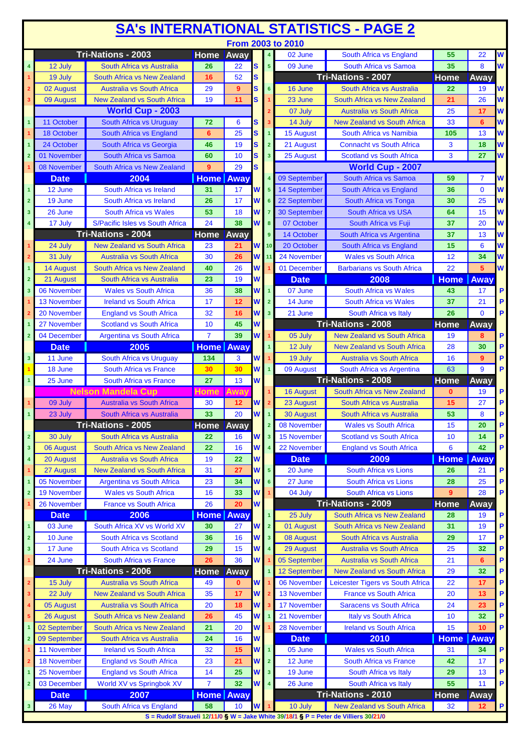| From 2003 to 2010<br>Tri-Nations - 2003<br><b>Home</b><br>$\overline{\mathsf{w}}$<br>Away<br>$\overline{4}$<br>South Africa vs England<br>55<br>22<br>02 June<br>W<br>S<br>8<br>09 June<br>South Africa vs Samoa<br>35<br>12 July<br>South Africa vs Australia<br>26<br>22<br>5 <sup>1</sup><br>$\overline{\mathbf{4}}$<br><b>Tri-Nations - 2007</b><br>52<br>S<br>Home<br>19 July<br><b>South Africa vs New Zealand</b><br>16<br>Away<br>$\mathbf{1}$<br>W<br>9<br>02 August<br><b>Australia vs South Africa</b><br>29<br>S<br>6<br>16 June<br>South Africa vs Australia<br>22<br>19<br>$\overline{\mathbf{2}}$<br>W<br>09 August<br>19<br>11<br>S<br><b>New Zealand vs South Africa</b><br>23 June<br>South Africa vs New Zealand<br>21<br>26<br>$\mathbf{3}$<br><b>World Cup - 2003</b><br>W<br>07 July<br><b>Australia vs South Africa</b><br>25<br>17<br>11 October<br>South Africa vs Uruguay<br>W<br>72<br>6<br>14 July<br><b>New Zealand vs South Africa</b><br>33<br>$\mathbf{1}$<br>s<br>6<br>3<br>South Africa vs Namibia<br>W<br>South Africa vs England<br>25<br>S<br>15 August<br>105<br>13<br>18 October<br>6<br>$\overline{1}$<br>1<br>W<br>19<br>S<br>21 August<br><b>Connacht vs South Africa</b><br>3<br>18<br>$\mathbf{1}$<br>24 October<br>South Africa vs Georgia<br>46<br>$\overline{2}$<br>3<br>W<br>South Africa vs Samoa<br>10<br>S<br>25 August<br><b>Scotland vs South Africa</b><br>27<br>01 November<br>60<br>$\overline{\mathbf{3}}$<br>$\overline{2}$<br><b>World Cup - 2007</b><br>29<br>S<br>08 November<br>South Africa vs New Zealand<br>9<br>2004<br><b>Home</b> Away<br>09 September<br>South Africa vs Samoa<br><b>Date</b><br>59<br>7<br>South Africa vs Ireland<br>14 September<br>South Africa vs England<br>36<br>$\Omega$<br>12 June<br>31<br>17<br>W<br>$5\phantom{.0}$<br>$\mathbf{1}$<br>17<br>W<br>22 September<br>$\overline{2}$<br>19 June<br>South Africa vs Ireland<br>26<br>South Africa vs Tonga<br>30<br>25<br>6<br>South Africa vs Wales<br>53<br>18<br><b>South Africa vs USA</b><br>26 June<br>W<br><b>30 September</b><br>64<br>15<br>$\mathbf{3}$<br>$\overline{7}$<br>24<br>38<br>W<br>S/Pacific Isles vs South Africa<br>07 October<br>17 July<br>8<br>South Africa vs Fuji<br>37<br>20<br>4<br>Tri-Nations - 2004<br><b>Home</b><br>Away<br>14 October<br>South Africa vs Argentina<br>37<br>9<br>13<br><b>New Zealand vs South Africa</b><br>W<br>20 October<br>15<br>6<br>24 July<br>23<br>21<br>10 <sub>1</sub><br><b>South Africa vs England</b><br>W<br>24 November<br>12<br>31 July<br><b>Australia vs South Africa</b><br>30<br>26<br><b>Wales vs South Africa</b><br>34<br>$\mathbf 2$<br>11<br>22<br>5<br>South Africa vs New Zealand<br>26<br>W<br>01 December<br><b>Barbarians vs South Africa</b><br>$\overline{1}$<br>14 August<br>40<br>W<br>23<br>19<br>2008<br>$\overline{2}$<br>21 August<br>South Africa vs Australia<br><b>Date</b><br><b>Home   Away</b><br><b>Wales vs South Africa</b><br>36<br>W<br>$\overline{1}$<br><b>South Africa vs Wales</b><br>$\overline{\mathbf{3}}$<br>06 November<br>38<br>07 June<br>43<br>17<br>17<br>12<br>W<br>14 June<br>South Africa vs Wales<br>37<br>21<br><b>13 November</b><br><b>Ireland vs South Africa</b><br>$\overline{2}$<br>20 November<br>32<br>W<br>21 June<br>South Africa vs Italy<br>26<br>$\Omega$<br><b>England vs South Africa</b><br>16<br>$\overline{\mathbf{3}}$<br>$\overline{2}$<br><b>Tri-Nations - 2008</b><br>27 November<br><b>Scotland vs South Africa</b><br>10<br>45<br>W<br><b>Home</b><br>Away<br>$\overline{1}$<br>39<br>04 December<br>$\overline{7}$<br>W<br>$\overline{\mathbf{2}}$<br><b>Argentina vs South Africa</b><br>05 July<br><b>New Zealand vs South Africa</b><br>19<br>8<br>2005<br><b>Home</b> Away<br><b>Date</b><br>$\overline{1}$<br>12 July<br><b>New Zealand vs South Africa</b><br>28<br>30<br>W<br>19 July<br>$\mathbf 3$<br>11 June<br>South Africa vs Uruguay<br>134<br>3<br><b>Australia vs South Africa</b><br>16<br>9<br>63<br>9<br>18 June<br>South Africa vs France<br>30<br>30<br>W<br>09 August<br>South Africa vs Argentina<br>$\overline{1}$<br><b>Tri-Nations - 2008</b><br>W<br><b>Home</b><br>$\overline{1}$<br>25 June<br>South Africa vs France<br>27<br>13<br>Away<br><b>Nelson Mandela Cup</b><br><b>Home</b><br>Away<br><b>16 August</b><br>South Africa vs New Zealand<br>19<br>$\mathbf{0}$<br>09 July<br><b>Australia vs South Africa</b><br>30<br>12<br>23 August<br>South Africa vs Australia<br>15<br>27<br>W<br>33<br>20<br>30 August<br>53<br>8<br>23 July<br>W<br>South Africa vs Australia<br>South Africa vs Australia<br>-1<br>Tri-Nations - 2005<br><b>Home Away</b><br>08 November<br><b>Wales vs South Africa</b><br>15<br>20<br>$\overline{2}$<br>$\mathbf 2$<br>30 July<br>South Africa vs Australia<br>22<br>16<br>W<br><b>15 November</b><br><b>Scotland vs South Africa</b><br>10<br>14<br>$\overline{\mathbf{3}}$<br>16<br>22 November<br>06 August<br><b>South Africa vs New Zealand</b><br>22<br>W<br><b>England vs South Africa</b><br>6<br>42<br>$\overline{\mathbf{3}}$<br>$\overline{\mathbf{4}}$<br>19<br>22<br>W<br>2009<br>4<br><b>Australia vs South Africa</b><br><b>Date</b><br><b>Home</b><br>Away<br>20 August<br>31<br><b>New Zealand vs South Africa</b><br>27<br>W<br>$\overline{5}$<br>South Africa vs Lions<br>27 August<br>20 June<br>26<br>21<br>1<br>05 November<br><b>Argentina vs South Africa</b><br>23<br>34<br>27 June<br>25<br>W<br><b>South Africa vs Lions</b><br>28<br>$\overline{\mathbf{1}}$<br>6<br><b>Wales vs South Africa</b><br>W<br>04 July<br>9<br>28<br>$\overline{\mathbf{2}}$<br><b>19 November</b><br>16<br>33<br>South Africa vs Lions<br>Tri-Nations - 2009<br>20<br>W<br>26<br><b>Home</b><br>26 November<br><b>France vs South Africa</b><br>Away<br>2006<br><b>Home</b> Away<br>$\mathbf{1}$<br>25 July<br>South Africa vs New Zealand<br>28<br><b>Date</b><br>19<br>South Africa XV vs World XV<br>31<br>19<br>27<br>W<br>01 August<br>South Africa vs New Zealand<br>03 June<br>30<br>$\overline{2}$<br>$\overline{\mathbf{1}}$<br>36<br>$\overline{\mathbf{2}}$<br>10 June<br>South Africa vs Scotland<br>16<br>W<br>$\overline{\mathbf{3}}$<br>08 August<br>South Africa vs Australia<br>29<br>17<br>15<br>P<br>$\mathbf{3}$<br>17 June<br>South Africa vs Scotland<br>29<br>W<br>29 August<br><b>Australia vs South Africa</b><br>25<br>32<br>$\overline{\mathbf{4}}$<br>36<br>W<br>P<br>24 June<br>South Africa vs France<br>26<br>05 September<br>Australia vs South Africa<br>21<br>6<br>1<br>Tri-Nations - 2006<br>Away<br>P<br>Home<br>12 September<br><b>New Zealand vs South Africa</b><br>29<br>32<br><b>Australia vs South Africa</b><br>W<br>06 November<br>Leicester Tigers vs South Africa<br>22<br>P<br>15 July<br>49<br>$\mathbf 2$<br>$\bf{0}$<br>17<br>35<br>17<br>W<br>13 November<br><b>France vs South Africa</b><br>P<br>$\mathbf{3}$<br>22 July<br><b>New Zealand vs South Africa</b><br>20<br>13<br>Australia vs South Africa<br>20<br>18<br>W<br>17 November<br><b>Saracens vs South Africa</b><br>P<br>24<br>23<br>4<br>05 August<br>P<br>45<br>South Africa vs New Zealand<br>26<br>W<br>21 November<br><b>Italy vs South Africa</b><br>10<br>32<br>26 August<br>$\sqrt{5}$<br>P<br>21<br>20<br>W<br>28 November<br><b>Ireland vs South Africa</b><br>15<br>02 September<br>South Africa vs New Zealand<br>10<br>1<br>W<br>24<br>16<br>09 September<br>South Africa vs Australia<br><b>Date</b><br>2010<br><b>Home</b><br><b>Away</b><br>$\overline{\mathbf{2}}$<br>11 November<br><b>Ireland vs South Africa</b><br>32<br>05 June<br>15<br>W<br>$\overline{1}$<br><b>Wales vs South Africa</b><br>31<br>34<br>12 June<br><b>18 November</b><br><b>England vs South Africa</b><br>23<br>21<br>W<br>$\overline{2}$<br><b>South Africa vs France</b><br>42<br>17<br>$\mathbf{2}$<br>14<br>25<br>25 November<br><b>England vs South Africa</b><br>19 June<br>South Africa vs Italy<br>13<br>W<br>$\overline{\mathbf{3}}$<br>29<br>1<br>03 December<br>World XV vs Springbok XV<br>32<br>W<br>55<br>$\overline{\mathbf{2}}$<br>$\overline{7}$<br>$\blacktriangleleft$<br>26 June<br>South Africa vs Italy<br>11<br>Tri-Nations - 2010<br>2007<br><b>Home</b> Away<br><b>Date</b><br><b>Home</b><br>Away<br>58<br>26 May<br>South Africa vs England<br>10<br>W<br>10 July<br><b>New Zealand vs South Africa</b><br>32<br>12<br>$\mathbf{3}$<br>$\overline{1}$<br>S = Rudolf Straueli 12/11/0 § W = Jake White 39/18/1 § P = Peter de Villiers 30/21/0 | <b>SA's INTERNATIONAL STATISTICS - PAGE 2</b> |  |  |  |  |  |  |  |  |  |   |  |
|--------------------------------------------------------------------------------------------------------------------------------------------------------------------------------------------------------------------------------------------------------------------------------------------------------------------------------------------------------------------------------------------------------------------------------------------------------------------------------------------------------------------------------------------------------------------------------------------------------------------------------------------------------------------------------------------------------------------------------------------------------------------------------------------------------------------------------------------------------------------------------------------------------------------------------------------------------------------------------------------------------------------------------------------------------------------------------------------------------------------------------------------------------------------------------------------------------------------------------------------------------------------------------------------------------------------------------------------------------------------------------------------------------------------------------------------------------------------------------------------------------------------------------------------------------------------------------------------------------------------------------------------------------------------------------------------------------------------------------------------------------------------------------------------------------------------------------------------------------------------------------------------------------------------------------------------------------------------------------------------------------------------------------------------------------------------------------------------------------------------------------------------------------------------------------------------------------------------------------------------------------------------------------------------------------------------------------------------------------------------------------------------------------------------------------------------------------------------------------------------------------------------------------------------------------------------------------------------------------------------------------------------------------------------------------------------------------------------------------------------------------------------------------------------------------------------------------------------------------------------------------------------------------------------------------------------------------------------------------------------------------------------------------------------------------------------------------------------------------------------------------------------------------------------------------------------------------------------------------------------------------------------------------------------------------------------------------------------------------------------------------------------------------------------------------------------------------------------------------------------------------------------------------------------------------------------------------------------------------------------------------------------------------------------------------------------------------------------------------------------------------------------------------------------------------------------------------------------------------------------------------------------------------------------------------------------------------------------------------------------------------------------------------------------------------------------------------------------------------------------------------------------------------------------------------------------------------------------------------------------------------------------------------------------------------------------------------------------------------------------------------------------------------------------------------------------------------------------------------------------------------------------------------------------------------------------------------------------------------------------------------------------------------------------------------------------------------------------------------------------------------------------------------------------------------------------------------------------------------------------------------------------------------------------------------------------------------------------------------------------------------------------------------------------------------------------------------------------------------------------------------------------------------------------------------------------------------------------------------------------------------------------------------------------------------------------------------------------------------------------------------------------------------------------------------------------------------------------------------------------------------------------------------------------------------------------------------------------------------------------------------------------------------------------------------------------------------------------------------------------------------------------------------------------------------------------------------------------------------------------------------------------------------------------------------------------------------------------------------------------------------------------------------------------------------------------------------------------------------------------------------------------------------------------------------------------------------------------------------------------------------------------------------------------------------------------------------------------------------------------------------------------------------------------------------------------------------------------------------------------------------------------------------------------------------------------------------------------------------------------------------------------------------------------------------------------------------------------------------------------------------------------------------------------------------------------------------------------------------------------------------------------------------------------------------------------------------------------------------------------------------------------------------------------------------------------------------------------------------------------------------------------------------------------------------------------------------------------------------------------------------------------------------------------------------------------------------------------------------------------------------------------------------------------------------------------------------------------------------------------------------------------------------------------------------------------------------------------------------------------------------------------------------------------------------------------------------------------------------------------------------------------------------------------------------------------------------------------------------------------------------------------------------------------------------------------------------------------------------------------------------------------------------------------------------------------------------------------------------------------------------------------------------------------------------------------------------------------------------------------------------------------------------------------------------------------------------------------------------------------------------------------------------------------------------------------------------------------------------------------------------------------------------------------------------|-----------------------------------------------|--|--|--|--|--|--|--|--|--|---|--|
|                                                                                                                                                                                                                                                                                                                                                                                                                                                                                                                                                                                                                                                                                                                                                                                                                                                                                                                                                                                                                                                                                                                                                                                                                                                                                                                                                                                                                                                                                                                                                                                                                                                                                                                                                                                                                                                                                                                                                                                                                                                                                                                                                                                                                                                                                                                                                                                                                                                                                                                                                                                                                                                                                                                                                                                                                                                                                                                                                                                                                                                                                                                                                                                                                                                                                                                                                                                                                                                                                                                                                                                                                                                                                                                                                                                                                                                                                                                                                                                                                                                                                                                                                                                                                                                                                                                                                                                                                                                                                                                                                                                                                                                                                                                                                                                                                                                                                                                                                                                                                                                                                                                                                                                                                                                                                                                                                                                                                                                                                                                                                                                                                                                                                                                                                                                                                                                                                                                                                                                                                                                                                                                                                                                                                                                                                                                                                                                                                                                                                                                                                                                                                                                                                                                                                                                                                                                                                                                                                                                                                                                                                                                                                                                                                                                                                                                                                                                                                                                                                                                                                                                                                                                                                                                                                                                                                                                                                                                                                                                                                                                                                                                                                                                                                                                                                                                                                                                                                                                                                                                                                        |                                               |  |  |  |  |  |  |  |  |  |   |  |
|                                                                                                                                                                                                                                                                                                                                                                                                                                                                                                                                                                                                                                                                                                                                                                                                                                                                                                                                                                                                                                                                                                                                                                                                                                                                                                                                                                                                                                                                                                                                                                                                                                                                                                                                                                                                                                                                                                                                                                                                                                                                                                                                                                                                                                                                                                                                                                                                                                                                                                                                                                                                                                                                                                                                                                                                                                                                                                                                                                                                                                                                                                                                                                                                                                                                                                                                                                                                                                                                                                                                                                                                                                                                                                                                                                                                                                                                                                                                                                                                                                                                                                                                                                                                                                                                                                                                                                                                                                                                                                                                                                                                                                                                                                                                                                                                                                                                                                                                                                                                                                                                                                                                                                                                                                                                                                                                                                                                                                                                                                                                                                                                                                                                                                                                                                                                                                                                                                                                                                                                                                                                                                                                                                                                                                                                                                                                                                                                                                                                                                                                                                                                                                                                                                                                                                                                                                                                                                                                                                                                                                                                                                                                                                                                                                                                                                                                                                                                                                                                                                                                                                                                                                                                                                                                                                                                                                                                                                                                                                                                                                                                                                                                                                                                                                                                                                                                                                                                                                                                                                                                                        |                                               |  |  |  |  |  |  |  |  |  |   |  |
|                                                                                                                                                                                                                                                                                                                                                                                                                                                                                                                                                                                                                                                                                                                                                                                                                                                                                                                                                                                                                                                                                                                                                                                                                                                                                                                                                                                                                                                                                                                                                                                                                                                                                                                                                                                                                                                                                                                                                                                                                                                                                                                                                                                                                                                                                                                                                                                                                                                                                                                                                                                                                                                                                                                                                                                                                                                                                                                                                                                                                                                                                                                                                                                                                                                                                                                                                                                                                                                                                                                                                                                                                                                                                                                                                                                                                                                                                                                                                                                                                                                                                                                                                                                                                                                                                                                                                                                                                                                                                                                                                                                                                                                                                                                                                                                                                                                                                                                                                                                                                                                                                                                                                                                                                                                                                                                                                                                                                                                                                                                                                                                                                                                                                                                                                                                                                                                                                                                                                                                                                                                                                                                                                                                                                                                                                                                                                                                                                                                                                                                                                                                                                                                                                                                                                                                                                                                                                                                                                                                                                                                                                                                                                                                                                                                                                                                                                                                                                                                                                                                                                                                                                                                                                                                                                                                                                                                                                                                                                                                                                                                                                                                                                                                                                                                                                                                                                                                                                                                                                                                                                        |                                               |  |  |  |  |  |  |  |  |  |   |  |
|                                                                                                                                                                                                                                                                                                                                                                                                                                                                                                                                                                                                                                                                                                                                                                                                                                                                                                                                                                                                                                                                                                                                                                                                                                                                                                                                                                                                                                                                                                                                                                                                                                                                                                                                                                                                                                                                                                                                                                                                                                                                                                                                                                                                                                                                                                                                                                                                                                                                                                                                                                                                                                                                                                                                                                                                                                                                                                                                                                                                                                                                                                                                                                                                                                                                                                                                                                                                                                                                                                                                                                                                                                                                                                                                                                                                                                                                                                                                                                                                                                                                                                                                                                                                                                                                                                                                                                                                                                                                                                                                                                                                                                                                                                                                                                                                                                                                                                                                                                                                                                                                                                                                                                                                                                                                                                                                                                                                                                                                                                                                                                                                                                                                                                                                                                                                                                                                                                                                                                                                                                                                                                                                                                                                                                                                                                                                                                                                                                                                                                                                                                                                                                                                                                                                                                                                                                                                                                                                                                                                                                                                                                                                                                                                                                                                                                                                                                                                                                                                                                                                                                                                                                                                                                                                                                                                                                                                                                                                                                                                                                                                                                                                                                                                                                                                                                                                                                                                                                                                                                                                                        |                                               |  |  |  |  |  |  |  |  |  |   |  |
|                                                                                                                                                                                                                                                                                                                                                                                                                                                                                                                                                                                                                                                                                                                                                                                                                                                                                                                                                                                                                                                                                                                                                                                                                                                                                                                                                                                                                                                                                                                                                                                                                                                                                                                                                                                                                                                                                                                                                                                                                                                                                                                                                                                                                                                                                                                                                                                                                                                                                                                                                                                                                                                                                                                                                                                                                                                                                                                                                                                                                                                                                                                                                                                                                                                                                                                                                                                                                                                                                                                                                                                                                                                                                                                                                                                                                                                                                                                                                                                                                                                                                                                                                                                                                                                                                                                                                                                                                                                                                                                                                                                                                                                                                                                                                                                                                                                                                                                                                                                                                                                                                                                                                                                                                                                                                                                                                                                                                                                                                                                                                                                                                                                                                                                                                                                                                                                                                                                                                                                                                                                                                                                                                                                                                                                                                                                                                                                                                                                                                                                                                                                                                                                                                                                                                                                                                                                                                                                                                                                                                                                                                                                                                                                                                                                                                                                                                                                                                                                                                                                                                                                                                                                                                                                                                                                                                                                                                                                                                                                                                                                                                                                                                                                                                                                                                                                                                                                                                                                                                                                                                        |                                               |  |  |  |  |  |  |  |  |  |   |  |
|                                                                                                                                                                                                                                                                                                                                                                                                                                                                                                                                                                                                                                                                                                                                                                                                                                                                                                                                                                                                                                                                                                                                                                                                                                                                                                                                                                                                                                                                                                                                                                                                                                                                                                                                                                                                                                                                                                                                                                                                                                                                                                                                                                                                                                                                                                                                                                                                                                                                                                                                                                                                                                                                                                                                                                                                                                                                                                                                                                                                                                                                                                                                                                                                                                                                                                                                                                                                                                                                                                                                                                                                                                                                                                                                                                                                                                                                                                                                                                                                                                                                                                                                                                                                                                                                                                                                                                                                                                                                                                                                                                                                                                                                                                                                                                                                                                                                                                                                                                                                                                                                                                                                                                                                                                                                                                                                                                                                                                                                                                                                                                                                                                                                                                                                                                                                                                                                                                                                                                                                                                                                                                                                                                                                                                                                                                                                                                                                                                                                                                                                                                                                                                                                                                                                                                                                                                                                                                                                                                                                                                                                                                                                                                                                                                                                                                                                                                                                                                                                                                                                                                                                                                                                                                                                                                                                                                                                                                                                                                                                                                                                                                                                                                                                                                                                                                                                                                                                                                                                                                                                                        |                                               |  |  |  |  |  |  |  |  |  |   |  |
|                                                                                                                                                                                                                                                                                                                                                                                                                                                                                                                                                                                                                                                                                                                                                                                                                                                                                                                                                                                                                                                                                                                                                                                                                                                                                                                                                                                                                                                                                                                                                                                                                                                                                                                                                                                                                                                                                                                                                                                                                                                                                                                                                                                                                                                                                                                                                                                                                                                                                                                                                                                                                                                                                                                                                                                                                                                                                                                                                                                                                                                                                                                                                                                                                                                                                                                                                                                                                                                                                                                                                                                                                                                                                                                                                                                                                                                                                                                                                                                                                                                                                                                                                                                                                                                                                                                                                                                                                                                                                                                                                                                                                                                                                                                                                                                                                                                                                                                                                                                                                                                                                                                                                                                                                                                                                                                                                                                                                                                                                                                                                                                                                                                                                                                                                                                                                                                                                                                                                                                                                                                                                                                                                                                                                                                                                                                                                                                                                                                                                                                                                                                                                                                                                                                                                                                                                                                                                                                                                                                                                                                                                                                                                                                                                                                                                                                                                                                                                                                                                                                                                                                                                                                                                                                                                                                                                                                                                                                                                                                                                                                                                                                                                                                                                                                                                                                                                                                                                                                                                                                                                        |                                               |  |  |  |  |  |  |  |  |  |   |  |
|                                                                                                                                                                                                                                                                                                                                                                                                                                                                                                                                                                                                                                                                                                                                                                                                                                                                                                                                                                                                                                                                                                                                                                                                                                                                                                                                                                                                                                                                                                                                                                                                                                                                                                                                                                                                                                                                                                                                                                                                                                                                                                                                                                                                                                                                                                                                                                                                                                                                                                                                                                                                                                                                                                                                                                                                                                                                                                                                                                                                                                                                                                                                                                                                                                                                                                                                                                                                                                                                                                                                                                                                                                                                                                                                                                                                                                                                                                                                                                                                                                                                                                                                                                                                                                                                                                                                                                                                                                                                                                                                                                                                                                                                                                                                                                                                                                                                                                                                                                                                                                                                                                                                                                                                                                                                                                                                                                                                                                                                                                                                                                                                                                                                                                                                                                                                                                                                                                                                                                                                                                                                                                                                                                                                                                                                                                                                                                                                                                                                                                                                                                                                                                                                                                                                                                                                                                                                                                                                                                                                                                                                                                                                                                                                                                                                                                                                                                                                                                                                                                                                                                                                                                                                                                                                                                                                                                                                                                                                                                                                                                                                                                                                                                                                                                                                                                                                                                                                                                                                                                                                                        |                                               |  |  |  |  |  |  |  |  |  |   |  |
|                                                                                                                                                                                                                                                                                                                                                                                                                                                                                                                                                                                                                                                                                                                                                                                                                                                                                                                                                                                                                                                                                                                                                                                                                                                                                                                                                                                                                                                                                                                                                                                                                                                                                                                                                                                                                                                                                                                                                                                                                                                                                                                                                                                                                                                                                                                                                                                                                                                                                                                                                                                                                                                                                                                                                                                                                                                                                                                                                                                                                                                                                                                                                                                                                                                                                                                                                                                                                                                                                                                                                                                                                                                                                                                                                                                                                                                                                                                                                                                                                                                                                                                                                                                                                                                                                                                                                                                                                                                                                                                                                                                                                                                                                                                                                                                                                                                                                                                                                                                                                                                                                                                                                                                                                                                                                                                                                                                                                                                                                                                                                                                                                                                                                                                                                                                                                                                                                                                                                                                                                                                                                                                                                                                                                                                                                                                                                                                                                                                                                                                                                                                                                                                                                                                                                                                                                                                                                                                                                                                                                                                                                                                                                                                                                                                                                                                                                                                                                                                                                                                                                                                                                                                                                                                                                                                                                                                                                                                                                                                                                                                                                                                                                                                                                                                                                                                                                                                                                                                                                                                                                        |                                               |  |  |  |  |  |  |  |  |  |   |  |
|                                                                                                                                                                                                                                                                                                                                                                                                                                                                                                                                                                                                                                                                                                                                                                                                                                                                                                                                                                                                                                                                                                                                                                                                                                                                                                                                                                                                                                                                                                                                                                                                                                                                                                                                                                                                                                                                                                                                                                                                                                                                                                                                                                                                                                                                                                                                                                                                                                                                                                                                                                                                                                                                                                                                                                                                                                                                                                                                                                                                                                                                                                                                                                                                                                                                                                                                                                                                                                                                                                                                                                                                                                                                                                                                                                                                                                                                                                                                                                                                                                                                                                                                                                                                                                                                                                                                                                                                                                                                                                                                                                                                                                                                                                                                                                                                                                                                                                                                                                                                                                                                                                                                                                                                                                                                                                                                                                                                                                                                                                                                                                                                                                                                                                                                                                                                                                                                                                                                                                                                                                                                                                                                                                                                                                                                                                                                                                                                                                                                                                                                                                                                                                                                                                                                                                                                                                                                                                                                                                                                                                                                                                                                                                                                                                                                                                                                                                                                                                                                                                                                                                                                                                                                                                                                                                                                                                                                                                                                                                                                                                                                                                                                                                                                                                                                                                                                                                                                                                                                                                                                                        |                                               |  |  |  |  |  |  |  |  |  |   |  |
|                                                                                                                                                                                                                                                                                                                                                                                                                                                                                                                                                                                                                                                                                                                                                                                                                                                                                                                                                                                                                                                                                                                                                                                                                                                                                                                                                                                                                                                                                                                                                                                                                                                                                                                                                                                                                                                                                                                                                                                                                                                                                                                                                                                                                                                                                                                                                                                                                                                                                                                                                                                                                                                                                                                                                                                                                                                                                                                                                                                                                                                                                                                                                                                                                                                                                                                                                                                                                                                                                                                                                                                                                                                                                                                                                                                                                                                                                                                                                                                                                                                                                                                                                                                                                                                                                                                                                                                                                                                                                                                                                                                                                                                                                                                                                                                                                                                                                                                                                                                                                                                                                                                                                                                                                                                                                                                                                                                                                                                                                                                                                                                                                                                                                                                                                                                                                                                                                                                                                                                                                                                                                                                                                                                                                                                                                                                                                                                                                                                                                                                                                                                                                                                                                                                                                                                                                                                                                                                                                                                                                                                                                                                                                                                                                                                                                                                                                                                                                                                                                                                                                                                                                                                                                                                                                                                                                                                                                                                                                                                                                                                                                                                                                                                                                                                                                                                                                                                                                                                                                                                                                        |                                               |  |  |  |  |  |  |  |  |  |   |  |
|                                                                                                                                                                                                                                                                                                                                                                                                                                                                                                                                                                                                                                                                                                                                                                                                                                                                                                                                                                                                                                                                                                                                                                                                                                                                                                                                                                                                                                                                                                                                                                                                                                                                                                                                                                                                                                                                                                                                                                                                                                                                                                                                                                                                                                                                                                                                                                                                                                                                                                                                                                                                                                                                                                                                                                                                                                                                                                                                                                                                                                                                                                                                                                                                                                                                                                                                                                                                                                                                                                                                                                                                                                                                                                                                                                                                                                                                                                                                                                                                                                                                                                                                                                                                                                                                                                                                                                                                                                                                                                                                                                                                                                                                                                                                                                                                                                                                                                                                                                                                                                                                                                                                                                                                                                                                                                                                                                                                                                                                                                                                                                                                                                                                                                                                                                                                                                                                                                                                                                                                                                                                                                                                                                                                                                                                                                                                                                                                                                                                                                                                                                                                                                                                                                                                                                                                                                                                                                                                                                                                                                                                                                                                                                                                                                                                                                                                                                                                                                                                                                                                                                                                                                                                                                                                                                                                                                                                                                                                                                                                                                                                                                                                                                                                                                                                                                                                                                                                                                                                                                                                                        |                                               |  |  |  |  |  |  |  |  |  |   |  |
|                                                                                                                                                                                                                                                                                                                                                                                                                                                                                                                                                                                                                                                                                                                                                                                                                                                                                                                                                                                                                                                                                                                                                                                                                                                                                                                                                                                                                                                                                                                                                                                                                                                                                                                                                                                                                                                                                                                                                                                                                                                                                                                                                                                                                                                                                                                                                                                                                                                                                                                                                                                                                                                                                                                                                                                                                                                                                                                                                                                                                                                                                                                                                                                                                                                                                                                                                                                                                                                                                                                                                                                                                                                                                                                                                                                                                                                                                                                                                                                                                                                                                                                                                                                                                                                                                                                                                                                                                                                                                                                                                                                                                                                                                                                                                                                                                                                                                                                                                                                                                                                                                                                                                                                                                                                                                                                                                                                                                                                                                                                                                                                                                                                                                                                                                                                                                                                                                                                                                                                                                                                                                                                                                                                                                                                                                                                                                                                                                                                                                                                                                                                                                                                                                                                                                                                                                                                                                                                                                                                                                                                                                                                                                                                                                                                                                                                                                                                                                                                                                                                                                                                                                                                                                                                                                                                                                                                                                                                                                                                                                                                                                                                                                                                                                                                                                                                                                                                                                                                                                                                                                        |                                               |  |  |  |  |  |  |  |  |  | W |  |
|                                                                                                                                                                                                                                                                                                                                                                                                                                                                                                                                                                                                                                                                                                                                                                                                                                                                                                                                                                                                                                                                                                                                                                                                                                                                                                                                                                                                                                                                                                                                                                                                                                                                                                                                                                                                                                                                                                                                                                                                                                                                                                                                                                                                                                                                                                                                                                                                                                                                                                                                                                                                                                                                                                                                                                                                                                                                                                                                                                                                                                                                                                                                                                                                                                                                                                                                                                                                                                                                                                                                                                                                                                                                                                                                                                                                                                                                                                                                                                                                                                                                                                                                                                                                                                                                                                                                                                                                                                                                                                                                                                                                                                                                                                                                                                                                                                                                                                                                                                                                                                                                                                                                                                                                                                                                                                                                                                                                                                                                                                                                                                                                                                                                                                                                                                                                                                                                                                                                                                                                                                                                                                                                                                                                                                                                                                                                                                                                                                                                                                                                                                                                                                                                                                                                                                                                                                                                                                                                                                                                                                                                                                                                                                                                                                                                                                                                                                                                                                                                                                                                                                                                                                                                                                                                                                                                                                                                                                                                                                                                                                                                                                                                                                                                                                                                                                                                                                                                                                                                                                                                                        |                                               |  |  |  |  |  |  |  |  |  | W |  |
|                                                                                                                                                                                                                                                                                                                                                                                                                                                                                                                                                                                                                                                                                                                                                                                                                                                                                                                                                                                                                                                                                                                                                                                                                                                                                                                                                                                                                                                                                                                                                                                                                                                                                                                                                                                                                                                                                                                                                                                                                                                                                                                                                                                                                                                                                                                                                                                                                                                                                                                                                                                                                                                                                                                                                                                                                                                                                                                                                                                                                                                                                                                                                                                                                                                                                                                                                                                                                                                                                                                                                                                                                                                                                                                                                                                                                                                                                                                                                                                                                                                                                                                                                                                                                                                                                                                                                                                                                                                                                                                                                                                                                                                                                                                                                                                                                                                                                                                                                                                                                                                                                                                                                                                                                                                                                                                                                                                                                                                                                                                                                                                                                                                                                                                                                                                                                                                                                                                                                                                                                                                                                                                                                                                                                                                                                                                                                                                                                                                                                                                                                                                                                                                                                                                                                                                                                                                                                                                                                                                                                                                                                                                                                                                                                                                                                                                                                                                                                                                                                                                                                                                                                                                                                                                                                                                                                                                                                                                                                                                                                                                                                                                                                                                                                                                                                                                                                                                                                                                                                                                                                        |                                               |  |  |  |  |  |  |  |  |  | W |  |
|                                                                                                                                                                                                                                                                                                                                                                                                                                                                                                                                                                                                                                                                                                                                                                                                                                                                                                                                                                                                                                                                                                                                                                                                                                                                                                                                                                                                                                                                                                                                                                                                                                                                                                                                                                                                                                                                                                                                                                                                                                                                                                                                                                                                                                                                                                                                                                                                                                                                                                                                                                                                                                                                                                                                                                                                                                                                                                                                                                                                                                                                                                                                                                                                                                                                                                                                                                                                                                                                                                                                                                                                                                                                                                                                                                                                                                                                                                                                                                                                                                                                                                                                                                                                                                                                                                                                                                                                                                                                                                                                                                                                                                                                                                                                                                                                                                                                                                                                                                                                                                                                                                                                                                                                                                                                                                                                                                                                                                                                                                                                                                                                                                                                                                                                                                                                                                                                                                                                                                                                                                                                                                                                                                                                                                                                                                                                                                                                                                                                                                                                                                                                                                                                                                                                                                                                                                                                                                                                                                                                                                                                                                                                                                                                                                                                                                                                                                                                                                                                                                                                                                                                                                                                                                                                                                                                                                                                                                                                                                                                                                                                                                                                                                                                                                                                                                                                                                                                                                                                                                                                                        |                                               |  |  |  |  |  |  |  |  |  | W |  |
|                                                                                                                                                                                                                                                                                                                                                                                                                                                                                                                                                                                                                                                                                                                                                                                                                                                                                                                                                                                                                                                                                                                                                                                                                                                                                                                                                                                                                                                                                                                                                                                                                                                                                                                                                                                                                                                                                                                                                                                                                                                                                                                                                                                                                                                                                                                                                                                                                                                                                                                                                                                                                                                                                                                                                                                                                                                                                                                                                                                                                                                                                                                                                                                                                                                                                                                                                                                                                                                                                                                                                                                                                                                                                                                                                                                                                                                                                                                                                                                                                                                                                                                                                                                                                                                                                                                                                                                                                                                                                                                                                                                                                                                                                                                                                                                                                                                                                                                                                                                                                                                                                                                                                                                                                                                                                                                                                                                                                                                                                                                                                                                                                                                                                                                                                                                                                                                                                                                                                                                                                                                                                                                                                                                                                                                                                                                                                                                                                                                                                                                                                                                                                                                                                                                                                                                                                                                                                                                                                                                                                                                                                                                                                                                                                                                                                                                                                                                                                                                                                                                                                                                                                                                                                                                                                                                                                                                                                                                                                                                                                                                                                                                                                                                                                                                                                                                                                                                                                                                                                                                                                        |                                               |  |  |  |  |  |  |  |  |  | W |  |
|                                                                                                                                                                                                                                                                                                                                                                                                                                                                                                                                                                                                                                                                                                                                                                                                                                                                                                                                                                                                                                                                                                                                                                                                                                                                                                                                                                                                                                                                                                                                                                                                                                                                                                                                                                                                                                                                                                                                                                                                                                                                                                                                                                                                                                                                                                                                                                                                                                                                                                                                                                                                                                                                                                                                                                                                                                                                                                                                                                                                                                                                                                                                                                                                                                                                                                                                                                                                                                                                                                                                                                                                                                                                                                                                                                                                                                                                                                                                                                                                                                                                                                                                                                                                                                                                                                                                                                                                                                                                                                                                                                                                                                                                                                                                                                                                                                                                                                                                                                                                                                                                                                                                                                                                                                                                                                                                                                                                                                                                                                                                                                                                                                                                                                                                                                                                                                                                                                                                                                                                                                                                                                                                                                                                                                                                                                                                                                                                                                                                                                                                                                                                                                                                                                                                                                                                                                                                                                                                                                                                                                                                                                                                                                                                                                                                                                                                                                                                                                                                                                                                                                                                                                                                                                                                                                                                                                                                                                                                                                                                                                                                                                                                                                                                                                                                                                                                                                                                                                                                                                                                                        |                                               |  |  |  |  |  |  |  |  |  | W |  |
|                                                                                                                                                                                                                                                                                                                                                                                                                                                                                                                                                                                                                                                                                                                                                                                                                                                                                                                                                                                                                                                                                                                                                                                                                                                                                                                                                                                                                                                                                                                                                                                                                                                                                                                                                                                                                                                                                                                                                                                                                                                                                                                                                                                                                                                                                                                                                                                                                                                                                                                                                                                                                                                                                                                                                                                                                                                                                                                                                                                                                                                                                                                                                                                                                                                                                                                                                                                                                                                                                                                                                                                                                                                                                                                                                                                                                                                                                                                                                                                                                                                                                                                                                                                                                                                                                                                                                                                                                                                                                                                                                                                                                                                                                                                                                                                                                                                                                                                                                                                                                                                                                                                                                                                                                                                                                                                                                                                                                                                                                                                                                                                                                                                                                                                                                                                                                                                                                                                                                                                                                                                                                                                                                                                                                                                                                                                                                                                                                                                                                                                                                                                                                                                                                                                                                                                                                                                                                                                                                                                                                                                                                                                                                                                                                                                                                                                                                                                                                                                                                                                                                                                                                                                                                                                                                                                                                                                                                                                                                                                                                                                                                                                                                                                                                                                                                                                                                                                                                                                                                                                                                        |                                               |  |  |  |  |  |  |  |  |  | W |  |
|                                                                                                                                                                                                                                                                                                                                                                                                                                                                                                                                                                                                                                                                                                                                                                                                                                                                                                                                                                                                                                                                                                                                                                                                                                                                                                                                                                                                                                                                                                                                                                                                                                                                                                                                                                                                                                                                                                                                                                                                                                                                                                                                                                                                                                                                                                                                                                                                                                                                                                                                                                                                                                                                                                                                                                                                                                                                                                                                                                                                                                                                                                                                                                                                                                                                                                                                                                                                                                                                                                                                                                                                                                                                                                                                                                                                                                                                                                                                                                                                                                                                                                                                                                                                                                                                                                                                                                                                                                                                                                                                                                                                                                                                                                                                                                                                                                                                                                                                                                                                                                                                                                                                                                                                                                                                                                                                                                                                                                                                                                                                                                                                                                                                                                                                                                                                                                                                                                                                                                                                                                                                                                                                                                                                                                                                                                                                                                                                                                                                                                                                                                                                                                                                                                                                                                                                                                                                                                                                                                                                                                                                                                                                                                                                                                                                                                                                                                                                                                                                                                                                                                                                                                                                                                                                                                                                                                                                                                                                                                                                                                                                                                                                                                                                                                                                                                                                                                                                                                                                                                                                                        |                                               |  |  |  |  |  |  |  |  |  | W |  |
|                                                                                                                                                                                                                                                                                                                                                                                                                                                                                                                                                                                                                                                                                                                                                                                                                                                                                                                                                                                                                                                                                                                                                                                                                                                                                                                                                                                                                                                                                                                                                                                                                                                                                                                                                                                                                                                                                                                                                                                                                                                                                                                                                                                                                                                                                                                                                                                                                                                                                                                                                                                                                                                                                                                                                                                                                                                                                                                                                                                                                                                                                                                                                                                                                                                                                                                                                                                                                                                                                                                                                                                                                                                                                                                                                                                                                                                                                                                                                                                                                                                                                                                                                                                                                                                                                                                                                                                                                                                                                                                                                                                                                                                                                                                                                                                                                                                                                                                                                                                                                                                                                                                                                                                                                                                                                                                                                                                                                                                                                                                                                                                                                                                                                                                                                                                                                                                                                                                                                                                                                                                                                                                                                                                                                                                                                                                                                                                                                                                                                                                                                                                                                                                                                                                                                                                                                                                                                                                                                                                                                                                                                                                                                                                                                                                                                                                                                                                                                                                                                                                                                                                                                                                                                                                                                                                                                                                                                                                                                                                                                                                                                                                                                                                                                                                                                                                                                                                                                                                                                                                                                        |                                               |  |  |  |  |  |  |  |  |  | W |  |
|                                                                                                                                                                                                                                                                                                                                                                                                                                                                                                                                                                                                                                                                                                                                                                                                                                                                                                                                                                                                                                                                                                                                                                                                                                                                                                                                                                                                                                                                                                                                                                                                                                                                                                                                                                                                                                                                                                                                                                                                                                                                                                                                                                                                                                                                                                                                                                                                                                                                                                                                                                                                                                                                                                                                                                                                                                                                                                                                                                                                                                                                                                                                                                                                                                                                                                                                                                                                                                                                                                                                                                                                                                                                                                                                                                                                                                                                                                                                                                                                                                                                                                                                                                                                                                                                                                                                                                                                                                                                                                                                                                                                                                                                                                                                                                                                                                                                                                                                                                                                                                                                                                                                                                                                                                                                                                                                                                                                                                                                                                                                                                                                                                                                                                                                                                                                                                                                                                                                                                                                                                                                                                                                                                                                                                                                                                                                                                                                                                                                                                                                                                                                                                                                                                                                                                                                                                                                                                                                                                                                                                                                                                                                                                                                                                                                                                                                                                                                                                                                                                                                                                                                                                                                                                                                                                                                                                                                                                                                                                                                                                                                                                                                                                                                                                                                                                                                                                                                                                                                                                                                                        |                                               |  |  |  |  |  |  |  |  |  |   |  |
|                                                                                                                                                                                                                                                                                                                                                                                                                                                                                                                                                                                                                                                                                                                                                                                                                                                                                                                                                                                                                                                                                                                                                                                                                                                                                                                                                                                                                                                                                                                                                                                                                                                                                                                                                                                                                                                                                                                                                                                                                                                                                                                                                                                                                                                                                                                                                                                                                                                                                                                                                                                                                                                                                                                                                                                                                                                                                                                                                                                                                                                                                                                                                                                                                                                                                                                                                                                                                                                                                                                                                                                                                                                                                                                                                                                                                                                                                                                                                                                                                                                                                                                                                                                                                                                                                                                                                                                                                                                                                                                                                                                                                                                                                                                                                                                                                                                                                                                                                                                                                                                                                                                                                                                                                                                                                                                                                                                                                                                                                                                                                                                                                                                                                                                                                                                                                                                                                                                                                                                                                                                                                                                                                                                                                                                                                                                                                                                                                                                                                                                                                                                                                                                                                                                                                                                                                                                                                                                                                                                                                                                                                                                                                                                                                                                                                                                                                                                                                                                                                                                                                                                                                                                                                                                                                                                                                                                                                                                                                                                                                                                                                                                                                                                                                                                                                                                                                                                                                                                                                                                                                        |                                               |  |  |  |  |  |  |  |  |  | P |  |
|                                                                                                                                                                                                                                                                                                                                                                                                                                                                                                                                                                                                                                                                                                                                                                                                                                                                                                                                                                                                                                                                                                                                                                                                                                                                                                                                                                                                                                                                                                                                                                                                                                                                                                                                                                                                                                                                                                                                                                                                                                                                                                                                                                                                                                                                                                                                                                                                                                                                                                                                                                                                                                                                                                                                                                                                                                                                                                                                                                                                                                                                                                                                                                                                                                                                                                                                                                                                                                                                                                                                                                                                                                                                                                                                                                                                                                                                                                                                                                                                                                                                                                                                                                                                                                                                                                                                                                                                                                                                                                                                                                                                                                                                                                                                                                                                                                                                                                                                                                                                                                                                                                                                                                                                                                                                                                                                                                                                                                                                                                                                                                                                                                                                                                                                                                                                                                                                                                                                                                                                                                                                                                                                                                                                                                                                                                                                                                                                                                                                                                                                                                                                                                                                                                                                                                                                                                                                                                                                                                                                                                                                                                                                                                                                                                                                                                                                                                                                                                                                                                                                                                                                                                                                                                                                                                                                                                                                                                                                                                                                                                                                                                                                                                                                                                                                                                                                                                                                                                                                                                                                                        |                                               |  |  |  |  |  |  |  |  |  | P |  |
|                                                                                                                                                                                                                                                                                                                                                                                                                                                                                                                                                                                                                                                                                                                                                                                                                                                                                                                                                                                                                                                                                                                                                                                                                                                                                                                                                                                                                                                                                                                                                                                                                                                                                                                                                                                                                                                                                                                                                                                                                                                                                                                                                                                                                                                                                                                                                                                                                                                                                                                                                                                                                                                                                                                                                                                                                                                                                                                                                                                                                                                                                                                                                                                                                                                                                                                                                                                                                                                                                                                                                                                                                                                                                                                                                                                                                                                                                                                                                                                                                                                                                                                                                                                                                                                                                                                                                                                                                                                                                                                                                                                                                                                                                                                                                                                                                                                                                                                                                                                                                                                                                                                                                                                                                                                                                                                                                                                                                                                                                                                                                                                                                                                                                                                                                                                                                                                                                                                                                                                                                                                                                                                                                                                                                                                                                                                                                                                                                                                                                                                                                                                                                                                                                                                                                                                                                                                                                                                                                                                                                                                                                                                                                                                                                                                                                                                                                                                                                                                                                                                                                                                                                                                                                                                                                                                                                                                                                                                                                                                                                                                                                                                                                                                                                                                                                                                                                                                                                                                                                                                                                        |                                               |  |  |  |  |  |  |  |  |  | P |  |
|                                                                                                                                                                                                                                                                                                                                                                                                                                                                                                                                                                                                                                                                                                                                                                                                                                                                                                                                                                                                                                                                                                                                                                                                                                                                                                                                                                                                                                                                                                                                                                                                                                                                                                                                                                                                                                                                                                                                                                                                                                                                                                                                                                                                                                                                                                                                                                                                                                                                                                                                                                                                                                                                                                                                                                                                                                                                                                                                                                                                                                                                                                                                                                                                                                                                                                                                                                                                                                                                                                                                                                                                                                                                                                                                                                                                                                                                                                                                                                                                                                                                                                                                                                                                                                                                                                                                                                                                                                                                                                                                                                                                                                                                                                                                                                                                                                                                                                                                                                                                                                                                                                                                                                                                                                                                                                                                                                                                                                                                                                                                                                                                                                                                                                                                                                                                                                                                                                                                                                                                                                                                                                                                                                                                                                                                                                                                                                                                                                                                                                                                                                                                                                                                                                                                                                                                                                                                                                                                                                                                                                                                                                                                                                                                                                                                                                                                                                                                                                                                                                                                                                                                                                                                                                                                                                                                                                                                                                                                                                                                                                                                                                                                                                                                                                                                                                                                                                                                                                                                                                                                                        |                                               |  |  |  |  |  |  |  |  |  |   |  |
|                                                                                                                                                                                                                                                                                                                                                                                                                                                                                                                                                                                                                                                                                                                                                                                                                                                                                                                                                                                                                                                                                                                                                                                                                                                                                                                                                                                                                                                                                                                                                                                                                                                                                                                                                                                                                                                                                                                                                                                                                                                                                                                                                                                                                                                                                                                                                                                                                                                                                                                                                                                                                                                                                                                                                                                                                                                                                                                                                                                                                                                                                                                                                                                                                                                                                                                                                                                                                                                                                                                                                                                                                                                                                                                                                                                                                                                                                                                                                                                                                                                                                                                                                                                                                                                                                                                                                                                                                                                                                                                                                                                                                                                                                                                                                                                                                                                                                                                                                                                                                                                                                                                                                                                                                                                                                                                                                                                                                                                                                                                                                                                                                                                                                                                                                                                                                                                                                                                                                                                                                                                                                                                                                                                                                                                                                                                                                                                                                                                                                                                                                                                                                                                                                                                                                                                                                                                                                                                                                                                                                                                                                                                                                                                                                                                                                                                                                                                                                                                                                                                                                                                                                                                                                                                                                                                                                                                                                                                                                                                                                                                                                                                                                                                                                                                                                                                                                                                                                                                                                                                                                        |                                               |  |  |  |  |  |  |  |  |  | P |  |
|                                                                                                                                                                                                                                                                                                                                                                                                                                                                                                                                                                                                                                                                                                                                                                                                                                                                                                                                                                                                                                                                                                                                                                                                                                                                                                                                                                                                                                                                                                                                                                                                                                                                                                                                                                                                                                                                                                                                                                                                                                                                                                                                                                                                                                                                                                                                                                                                                                                                                                                                                                                                                                                                                                                                                                                                                                                                                                                                                                                                                                                                                                                                                                                                                                                                                                                                                                                                                                                                                                                                                                                                                                                                                                                                                                                                                                                                                                                                                                                                                                                                                                                                                                                                                                                                                                                                                                                                                                                                                                                                                                                                                                                                                                                                                                                                                                                                                                                                                                                                                                                                                                                                                                                                                                                                                                                                                                                                                                                                                                                                                                                                                                                                                                                                                                                                                                                                                                                                                                                                                                                                                                                                                                                                                                                                                                                                                                                                                                                                                                                                                                                                                                                                                                                                                                                                                                                                                                                                                                                                                                                                                                                                                                                                                                                                                                                                                                                                                                                                                                                                                                                                                                                                                                                                                                                                                                                                                                                                                                                                                                                                                                                                                                                                                                                                                                                                                                                                                                                                                                                                                        |                                               |  |  |  |  |  |  |  |  |  | P |  |
|                                                                                                                                                                                                                                                                                                                                                                                                                                                                                                                                                                                                                                                                                                                                                                                                                                                                                                                                                                                                                                                                                                                                                                                                                                                                                                                                                                                                                                                                                                                                                                                                                                                                                                                                                                                                                                                                                                                                                                                                                                                                                                                                                                                                                                                                                                                                                                                                                                                                                                                                                                                                                                                                                                                                                                                                                                                                                                                                                                                                                                                                                                                                                                                                                                                                                                                                                                                                                                                                                                                                                                                                                                                                                                                                                                                                                                                                                                                                                                                                                                                                                                                                                                                                                                                                                                                                                                                                                                                                                                                                                                                                                                                                                                                                                                                                                                                                                                                                                                                                                                                                                                                                                                                                                                                                                                                                                                                                                                                                                                                                                                                                                                                                                                                                                                                                                                                                                                                                                                                                                                                                                                                                                                                                                                                                                                                                                                                                                                                                                                                                                                                                                                                                                                                                                                                                                                                                                                                                                                                                                                                                                                                                                                                                                                                                                                                                                                                                                                                                                                                                                                                                                                                                                                                                                                                                                                                                                                                                                                                                                                                                                                                                                                                                                                                                                                                                                                                                                                                                                                                                                        |                                               |  |  |  |  |  |  |  |  |  | P |  |
|                                                                                                                                                                                                                                                                                                                                                                                                                                                                                                                                                                                                                                                                                                                                                                                                                                                                                                                                                                                                                                                                                                                                                                                                                                                                                                                                                                                                                                                                                                                                                                                                                                                                                                                                                                                                                                                                                                                                                                                                                                                                                                                                                                                                                                                                                                                                                                                                                                                                                                                                                                                                                                                                                                                                                                                                                                                                                                                                                                                                                                                                                                                                                                                                                                                                                                                                                                                                                                                                                                                                                                                                                                                                                                                                                                                                                                                                                                                                                                                                                                                                                                                                                                                                                                                                                                                                                                                                                                                                                                                                                                                                                                                                                                                                                                                                                                                                                                                                                                                                                                                                                                                                                                                                                                                                                                                                                                                                                                                                                                                                                                                                                                                                                                                                                                                                                                                                                                                                                                                                                                                                                                                                                                                                                                                                                                                                                                                                                                                                                                                                                                                                                                                                                                                                                                                                                                                                                                                                                                                                                                                                                                                                                                                                                                                                                                                                                                                                                                                                                                                                                                                                                                                                                                                                                                                                                                                                                                                                                                                                                                                                                                                                                                                                                                                                                                                                                                                                                                                                                                                                                        |                                               |  |  |  |  |  |  |  |  |  | P |  |
|                                                                                                                                                                                                                                                                                                                                                                                                                                                                                                                                                                                                                                                                                                                                                                                                                                                                                                                                                                                                                                                                                                                                                                                                                                                                                                                                                                                                                                                                                                                                                                                                                                                                                                                                                                                                                                                                                                                                                                                                                                                                                                                                                                                                                                                                                                                                                                                                                                                                                                                                                                                                                                                                                                                                                                                                                                                                                                                                                                                                                                                                                                                                                                                                                                                                                                                                                                                                                                                                                                                                                                                                                                                                                                                                                                                                                                                                                                                                                                                                                                                                                                                                                                                                                                                                                                                                                                                                                                                                                                                                                                                                                                                                                                                                                                                                                                                                                                                                                                                                                                                                                                                                                                                                                                                                                                                                                                                                                                                                                                                                                                                                                                                                                                                                                                                                                                                                                                                                                                                                                                                                                                                                                                                                                                                                                                                                                                                                                                                                                                                                                                                                                                                                                                                                                                                                                                                                                                                                                                                                                                                                                                                                                                                                                                                                                                                                                                                                                                                                                                                                                                                                                                                                                                                                                                                                                                                                                                                                                                                                                                                                                                                                                                                                                                                                                                                                                                                                                                                                                                                                                        |                                               |  |  |  |  |  |  |  |  |  |   |  |
|                                                                                                                                                                                                                                                                                                                                                                                                                                                                                                                                                                                                                                                                                                                                                                                                                                                                                                                                                                                                                                                                                                                                                                                                                                                                                                                                                                                                                                                                                                                                                                                                                                                                                                                                                                                                                                                                                                                                                                                                                                                                                                                                                                                                                                                                                                                                                                                                                                                                                                                                                                                                                                                                                                                                                                                                                                                                                                                                                                                                                                                                                                                                                                                                                                                                                                                                                                                                                                                                                                                                                                                                                                                                                                                                                                                                                                                                                                                                                                                                                                                                                                                                                                                                                                                                                                                                                                                                                                                                                                                                                                                                                                                                                                                                                                                                                                                                                                                                                                                                                                                                                                                                                                                                                                                                                                                                                                                                                                                                                                                                                                                                                                                                                                                                                                                                                                                                                                                                                                                                                                                                                                                                                                                                                                                                                                                                                                                                                                                                                                                                                                                                                                                                                                                                                                                                                                                                                                                                                                                                                                                                                                                                                                                                                                                                                                                                                                                                                                                                                                                                                                                                                                                                                                                                                                                                                                                                                                                                                                                                                                                                                                                                                                                                                                                                                                                                                                                                                                                                                                                                                        |                                               |  |  |  |  |  |  |  |  |  | P |  |
|                                                                                                                                                                                                                                                                                                                                                                                                                                                                                                                                                                                                                                                                                                                                                                                                                                                                                                                                                                                                                                                                                                                                                                                                                                                                                                                                                                                                                                                                                                                                                                                                                                                                                                                                                                                                                                                                                                                                                                                                                                                                                                                                                                                                                                                                                                                                                                                                                                                                                                                                                                                                                                                                                                                                                                                                                                                                                                                                                                                                                                                                                                                                                                                                                                                                                                                                                                                                                                                                                                                                                                                                                                                                                                                                                                                                                                                                                                                                                                                                                                                                                                                                                                                                                                                                                                                                                                                                                                                                                                                                                                                                                                                                                                                                                                                                                                                                                                                                                                                                                                                                                                                                                                                                                                                                                                                                                                                                                                                                                                                                                                                                                                                                                                                                                                                                                                                                                                                                                                                                                                                                                                                                                                                                                                                                                                                                                                                                                                                                                                                                                                                                                                                                                                                                                                                                                                                                                                                                                                                                                                                                                                                                                                                                                                                                                                                                                                                                                                                                                                                                                                                                                                                                                                                                                                                                                                                                                                                                                                                                                                                                                                                                                                                                                                                                                                                                                                                                                                                                                                                                                        |                                               |  |  |  |  |  |  |  |  |  | P |  |
|                                                                                                                                                                                                                                                                                                                                                                                                                                                                                                                                                                                                                                                                                                                                                                                                                                                                                                                                                                                                                                                                                                                                                                                                                                                                                                                                                                                                                                                                                                                                                                                                                                                                                                                                                                                                                                                                                                                                                                                                                                                                                                                                                                                                                                                                                                                                                                                                                                                                                                                                                                                                                                                                                                                                                                                                                                                                                                                                                                                                                                                                                                                                                                                                                                                                                                                                                                                                                                                                                                                                                                                                                                                                                                                                                                                                                                                                                                                                                                                                                                                                                                                                                                                                                                                                                                                                                                                                                                                                                                                                                                                                                                                                                                                                                                                                                                                                                                                                                                                                                                                                                                                                                                                                                                                                                                                                                                                                                                                                                                                                                                                                                                                                                                                                                                                                                                                                                                                                                                                                                                                                                                                                                                                                                                                                                                                                                                                                                                                                                                                                                                                                                                                                                                                                                                                                                                                                                                                                                                                                                                                                                                                                                                                                                                                                                                                                                                                                                                                                                                                                                                                                                                                                                                                                                                                                                                                                                                                                                                                                                                                                                                                                                                                                                                                                                                                                                                                                                                                                                                                                                        |                                               |  |  |  |  |  |  |  |  |  | P |  |
|                                                                                                                                                                                                                                                                                                                                                                                                                                                                                                                                                                                                                                                                                                                                                                                                                                                                                                                                                                                                                                                                                                                                                                                                                                                                                                                                                                                                                                                                                                                                                                                                                                                                                                                                                                                                                                                                                                                                                                                                                                                                                                                                                                                                                                                                                                                                                                                                                                                                                                                                                                                                                                                                                                                                                                                                                                                                                                                                                                                                                                                                                                                                                                                                                                                                                                                                                                                                                                                                                                                                                                                                                                                                                                                                                                                                                                                                                                                                                                                                                                                                                                                                                                                                                                                                                                                                                                                                                                                                                                                                                                                                                                                                                                                                                                                                                                                                                                                                                                                                                                                                                                                                                                                                                                                                                                                                                                                                                                                                                                                                                                                                                                                                                                                                                                                                                                                                                                                                                                                                                                                                                                                                                                                                                                                                                                                                                                                                                                                                                                                                                                                                                                                                                                                                                                                                                                                                                                                                                                                                                                                                                                                                                                                                                                                                                                                                                                                                                                                                                                                                                                                                                                                                                                                                                                                                                                                                                                                                                                                                                                                                                                                                                                                                                                                                                                                                                                                                                                                                                                                                                        |                                               |  |  |  |  |  |  |  |  |  | P |  |
|                                                                                                                                                                                                                                                                                                                                                                                                                                                                                                                                                                                                                                                                                                                                                                                                                                                                                                                                                                                                                                                                                                                                                                                                                                                                                                                                                                                                                                                                                                                                                                                                                                                                                                                                                                                                                                                                                                                                                                                                                                                                                                                                                                                                                                                                                                                                                                                                                                                                                                                                                                                                                                                                                                                                                                                                                                                                                                                                                                                                                                                                                                                                                                                                                                                                                                                                                                                                                                                                                                                                                                                                                                                                                                                                                                                                                                                                                                                                                                                                                                                                                                                                                                                                                                                                                                                                                                                                                                                                                                                                                                                                                                                                                                                                                                                                                                                                                                                                                                                                                                                                                                                                                                                                                                                                                                                                                                                                                                                                                                                                                                                                                                                                                                                                                                                                                                                                                                                                                                                                                                                                                                                                                                                                                                                                                                                                                                                                                                                                                                                                                                                                                                                                                                                                                                                                                                                                                                                                                                                                                                                                                                                                                                                                                                                                                                                                                                                                                                                                                                                                                                                                                                                                                                                                                                                                                                                                                                                                                                                                                                                                                                                                                                                                                                                                                                                                                                                                                                                                                                                                                        |                                               |  |  |  |  |  |  |  |  |  | P |  |
|                                                                                                                                                                                                                                                                                                                                                                                                                                                                                                                                                                                                                                                                                                                                                                                                                                                                                                                                                                                                                                                                                                                                                                                                                                                                                                                                                                                                                                                                                                                                                                                                                                                                                                                                                                                                                                                                                                                                                                                                                                                                                                                                                                                                                                                                                                                                                                                                                                                                                                                                                                                                                                                                                                                                                                                                                                                                                                                                                                                                                                                                                                                                                                                                                                                                                                                                                                                                                                                                                                                                                                                                                                                                                                                                                                                                                                                                                                                                                                                                                                                                                                                                                                                                                                                                                                                                                                                                                                                                                                                                                                                                                                                                                                                                                                                                                                                                                                                                                                                                                                                                                                                                                                                                                                                                                                                                                                                                                                                                                                                                                                                                                                                                                                                                                                                                                                                                                                                                                                                                                                                                                                                                                                                                                                                                                                                                                                                                                                                                                                                                                                                                                                                                                                                                                                                                                                                                                                                                                                                                                                                                                                                                                                                                                                                                                                                                                                                                                                                                                                                                                                                                                                                                                                                                                                                                                                                                                                                                                                                                                                                                                                                                                                                                                                                                                                                                                                                                                                                                                                                                                        |                                               |  |  |  |  |  |  |  |  |  | P |  |
|                                                                                                                                                                                                                                                                                                                                                                                                                                                                                                                                                                                                                                                                                                                                                                                                                                                                                                                                                                                                                                                                                                                                                                                                                                                                                                                                                                                                                                                                                                                                                                                                                                                                                                                                                                                                                                                                                                                                                                                                                                                                                                                                                                                                                                                                                                                                                                                                                                                                                                                                                                                                                                                                                                                                                                                                                                                                                                                                                                                                                                                                                                                                                                                                                                                                                                                                                                                                                                                                                                                                                                                                                                                                                                                                                                                                                                                                                                                                                                                                                                                                                                                                                                                                                                                                                                                                                                                                                                                                                                                                                                                                                                                                                                                                                                                                                                                                                                                                                                                                                                                                                                                                                                                                                                                                                                                                                                                                                                                                                                                                                                                                                                                                                                                                                                                                                                                                                                                                                                                                                                                                                                                                                                                                                                                                                                                                                                                                                                                                                                                                                                                                                                                                                                                                                                                                                                                                                                                                                                                                                                                                                                                                                                                                                                                                                                                                                                                                                                                                                                                                                                                                                                                                                                                                                                                                                                                                                                                                                                                                                                                                                                                                                                                                                                                                                                                                                                                                                                                                                                                                                        |                                               |  |  |  |  |  |  |  |  |  |   |  |
|                                                                                                                                                                                                                                                                                                                                                                                                                                                                                                                                                                                                                                                                                                                                                                                                                                                                                                                                                                                                                                                                                                                                                                                                                                                                                                                                                                                                                                                                                                                                                                                                                                                                                                                                                                                                                                                                                                                                                                                                                                                                                                                                                                                                                                                                                                                                                                                                                                                                                                                                                                                                                                                                                                                                                                                                                                                                                                                                                                                                                                                                                                                                                                                                                                                                                                                                                                                                                                                                                                                                                                                                                                                                                                                                                                                                                                                                                                                                                                                                                                                                                                                                                                                                                                                                                                                                                                                                                                                                                                                                                                                                                                                                                                                                                                                                                                                                                                                                                                                                                                                                                                                                                                                                                                                                                                                                                                                                                                                                                                                                                                                                                                                                                                                                                                                                                                                                                                                                                                                                                                                                                                                                                                                                                                                                                                                                                                                                                                                                                                                                                                                                                                                                                                                                                                                                                                                                                                                                                                                                                                                                                                                                                                                                                                                                                                                                                                                                                                                                                                                                                                                                                                                                                                                                                                                                                                                                                                                                                                                                                                                                                                                                                                                                                                                                                                                                                                                                                                                                                                                                                        |                                               |  |  |  |  |  |  |  |  |  | P |  |
|                                                                                                                                                                                                                                                                                                                                                                                                                                                                                                                                                                                                                                                                                                                                                                                                                                                                                                                                                                                                                                                                                                                                                                                                                                                                                                                                                                                                                                                                                                                                                                                                                                                                                                                                                                                                                                                                                                                                                                                                                                                                                                                                                                                                                                                                                                                                                                                                                                                                                                                                                                                                                                                                                                                                                                                                                                                                                                                                                                                                                                                                                                                                                                                                                                                                                                                                                                                                                                                                                                                                                                                                                                                                                                                                                                                                                                                                                                                                                                                                                                                                                                                                                                                                                                                                                                                                                                                                                                                                                                                                                                                                                                                                                                                                                                                                                                                                                                                                                                                                                                                                                                                                                                                                                                                                                                                                                                                                                                                                                                                                                                                                                                                                                                                                                                                                                                                                                                                                                                                                                                                                                                                                                                                                                                                                                                                                                                                                                                                                                                                                                                                                                                                                                                                                                                                                                                                                                                                                                                                                                                                                                                                                                                                                                                                                                                                                                                                                                                                                                                                                                                                                                                                                                                                                                                                                                                                                                                                                                                                                                                                                                                                                                                                                                                                                                                                                                                                                                                                                                                                                                        |                                               |  |  |  |  |  |  |  |  |  | P |  |
|                                                                                                                                                                                                                                                                                                                                                                                                                                                                                                                                                                                                                                                                                                                                                                                                                                                                                                                                                                                                                                                                                                                                                                                                                                                                                                                                                                                                                                                                                                                                                                                                                                                                                                                                                                                                                                                                                                                                                                                                                                                                                                                                                                                                                                                                                                                                                                                                                                                                                                                                                                                                                                                                                                                                                                                                                                                                                                                                                                                                                                                                                                                                                                                                                                                                                                                                                                                                                                                                                                                                                                                                                                                                                                                                                                                                                                                                                                                                                                                                                                                                                                                                                                                                                                                                                                                                                                                                                                                                                                                                                                                                                                                                                                                                                                                                                                                                                                                                                                                                                                                                                                                                                                                                                                                                                                                                                                                                                                                                                                                                                                                                                                                                                                                                                                                                                                                                                                                                                                                                                                                                                                                                                                                                                                                                                                                                                                                                                                                                                                                                                                                                                                                                                                                                                                                                                                                                                                                                                                                                                                                                                                                                                                                                                                                                                                                                                                                                                                                                                                                                                                                                                                                                                                                                                                                                                                                                                                                                                                                                                                                                                                                                                                                                                                                                                                                                                                                                                                                                                                                                                        |                                               |  |  |  |  |  |  |  |  |  | P |  |
|                                                                                                                                                                                                                                                                                                                                                                                                                                                                                                                                                                                                                                                                                                                                                                                                                                                                                                                                                                                                                                                                                                                                                                                                                                                                                                                                                                                                                                                                                                                                                                                                                                                                                                                                                                                                                                                                                                                                                                                                                                                                                                                                                                                                                                                                                                                                                                                                                                                                                                                                                                                                                                                                                                                                                                                                                                                                                                                                                                                                                                                                                                                                                                                                                                                                                                                                                                                                                                                                                                                                                                                                                                                                                                                                                                                                                                                                                                                                                                                                                                                                                                                                                                                                                                                                                                                                                                                                                                                                                                                                                                                                                                                                                                                                                                                                                                                                                                                                                                                                                                                                                                                                                                                                                                                                                                                                                                                                                                                                                                                                                                                                                                                                                                                                                                                                                                                                                                                                                                                                                                                                                                                                                                                                                                                                                                                                                                                                                                                                                                                                                                                                                                                                                                                                                                                                                                                                                                                                                                                                                                                                                                                                                                                                                                                                                                                                                                                                                                                                                                                                                                                                                                                                                                                                                                                                                                                                                                                                                                                                                                                                                                                                                                                                                                                                                                                                                                                                                                                                                                                                                        |                                               |  |  |  |  |  |  |  |  |  |   |  |
|                                                                                                                                                                                                                                                                                                                                                                                                                                                                                                                                                                                                                                                                                                                                                                                                                                                                                                                                                                                                                                                                                                                                                                                                                                                                                                                                                                                                                                                                                                                                                                                                                                                                                                                                                                                                                                                                                                                                                                                                                                                                                                                                                                                                                                                                                                                                                                                                                                                                                                                                                                                                                                                                                                                                                                                                                                                                                                                                                                                                                                                                                                                                                                                                                                                                                                                                                                                                                                                                                                                                                                                                                                                                                                                                                                                                                                                                                                                                                                                                                                                                                                                                                                                                                                                                                                                                                                                                                                                                                                                                                                                                                                                                                                                                                                                                                                                                                                                                                                                                                                                                                                                                                                                                                                                                                                                                                                                                                                                                                                                                                                                                                                                                                                                                                                                                                                                                                                                                                                                                                                                                                                                                                                                                                                                                                                                                                                                                                                                                                                                                                                                                                                                                                                                                                                                                                                                                                                                                                                                                                                                                                                                                                                                                                                                                                                                                                                                                                                                                                                                                                                                                                                                                                                                                                                                                                                                                                                                                                                                                                                                                                                                                                                                                                                                                                                                                                                                                                                                                                                                                                        |                                               |  |  |  |  |  |  |  |  |  | P |  |
|                                                                                                                                                                                                                                                                                                                                                                                                                                                                                                                                                                                                                                                                                                                                                                                                                                                                                                                                                                                                                                                                                                                                                                                                                                                                                                                                                                                                                                                                                                                                                                                                                                                                                                                                                                                                                                                                                                                                                                                                                                                                                                                                                                                                                                                                                                                                                                                                                                                                                                                                                                                                                                                                                                                                                                                                                                                                                                                                                                                                                                                                                                                                                                                                                                                                                                                                                                                                                                                                                                                                                                                                                                                                                                                                                                                                                                                                                                                                                                                                                                                                                                                                                                                                                                                                                                                                                                                                                                                                                                                                                                                                                                                                                                                                                                                                                                                                                                                                                                                                                                                                                                                                                                                                                                                                                                                                                                                                                                                                                                                                                                                                                                                                                                                                                                                                                                                                                                                                                                                                                                                                                                                                                                                                                                                                                                                                                                                                                                                                                                                                                                                                                                                                                                                                                                                                                                                                                                                                                                                                                                                                                                                                                                                                                                                                                                                                                                                                                                                                                                                                                                                                                                                                                                                                                                                                                                                                                                                                                                                                                                                                                                                                                                                                                                                                                                                                                                                                                                                                                                                                                        |                                               |  |  |  |  |  |  |  |  |  | P |  |
|                                                                                                                                                                                                                                                                                                                                                                                                                                                                                                                                                                                                                                                                                                                                                                                                                                                                                                                                                                                                                                                                                                                                                                                                                                                                                                                                                                                                                                                                                                                                                                                                                                                                                                                                                                                                                                                                                                                                                                                                                                                                                                                                                                                                                                                                                                                                                                                                                                                                                                                                                                                                                                                                                                                                                                                                                                                                                                                                                                                                                                                                                                                                                                                                                                                                                                                                                                                                                                                                                                                                                                                                                                                                                                                                                                                                                                                                                                                                                                                                                                                                                                                                                                                                                                                                                                                                                                                                                                                                                                                                                                                                                                                                                                                                                                                                                                                                                                                                                                                                                                                                                                                                                                                                                                                                                                                                                                                                                                                                                                                                                                                                                                                                                                                                                                                                                                                                                                                                                                                                                                                                                                                                                                                                                                                                                                                                                                                                                                                                                                                                                                                                                                                                                                                                                                                                                                                                                                                                                                                                                                                                                                                                                                                                                                                                                                                                                                                                                                                                                                                                                                                                                                                                                                                                                                                                                                                                                                                                                                                                                                                                                                                                                                                                                                                                                                                                                                                                                                                                                                                                                        |                                               |  |  |  |  |  |  |  |  |  | P |  |
|                                                                                                                                                                                                                                                                                                                                                                                                                                                                                                                                                                                                                                                                                                                                                                                                                                                                                                                                                                                                                                                                                                                                                                                                                                                                                                                                                                                                                                                                                                                                                                                                                                                                                                                                                                                                                                                                                                                                                                                                                                                                                                                                                                                                                                                                                                                                                                                                                                                                                                                                                                                                                                                                                                                                                                                                                                                                                                                                                                                                                                                                                                                                                                                                                                                                                                                                                                                                                                                                                                                                                                                                                                                                                                                                                                                                                                                                                                                                                                                                                                                                                                                                                                                                                                                                                                                                                                                                                                                                                                                                                                                                                                                                                                                                                                                                                                                                                                                                                                                                                                                                                                                                                                                                                                                                                                                                                                                                                                                                                                                                                                                                                                                                                                                                                                                                                                                                                                                                                                                                                                                                                                                                                                                                                                                                                                                                                                                                                                                                                                                                                                                                                                                                                                                                                                                                                                                                                                                                                                                                                                                                                                                                                                                                                                                                                                                                                                                                                                                                                                                                                                                                                                                                                                                                                                                                                                                                                                                                                                                                                                                                                                                                                                                                                                                                                                                                                                                                                                                                                                                                                        |                                               |  |  |  |  |  |  |  |  |  |   |  |
|                                                                                                                                                                                                                                                                                                                                                                                                                                                                                                                                                                                                                                                                                                                                                                                                                                                                                                                                                                                                                                                                                                                                                                                                                                                                                                                                                                                                                                                                                                                                                                                                                                                                                                                                                                                                                                                                                                                                                                                                                                                                                                                                                                                                                                                                                                                                                                                                                                                                                                                                                                                                                                                                                                                                                                                                                                                                                                                                                                                                                                                                                                                                                                                                                                                                                                                                                                                                                                                                                                                                                                                                                                                                                                                                                                                                                                                                                                                                                                                                                                                                                                                                                                                                                                                                                                                                                                                                                                                                                                                                                                                                                                                                                                                                                                                                                                                                                                                                                                                                                                                                                                                                                                                                                                                                                                                                                                                                                                                                                                                                                                                                                                                                                                                                                                                                                                                                                                                                                                                                                                                                                                                                                                                                                                                                                                                                                                                                                                                                                                                                                                                                                                                                                                                                                                                                                                                                                                                                                                                                                                                                                                                                                                                                                                                                                                                                                                                                                                                                                                                                                                                                                                                                                                                                                                                                                                                                                                                                                                                                                                                                                                                                                                                                                                                                                                                                                                                                                                                                                                                                                        |                                               |  |  |  |  |  |  |  |  |  |   |  |
|                                                                                                                                                                                                                                                                                                                                                                                                                                                                                                                                                                                                                                                                                                                                                                                                                                                                                                                                                                                                                                                                                                                                                                                                                                                                                                                                                                                                                                                                                                                                                                                                                                                                                                                                                                                                                                                                                                                                                                                                                                                                                                                                                                                                                                                                                                                                                                                                                                                                                                                                                                                                                                                                                                                                                                                                                                                                                                                                                                                                                                                                                                                                                                                                                                                                                                                                                                                                                                                                                                                                                                                                                                                                                                                                                                                                                                                                                                                                                                                                                                                                                                                                                                                                                                                                                                                                                                                                                                                                                                                                                                                                                                                                                                                                                                                                                                                                                                                                                                                                                                                                                                                                                                                                                                                                                                                                                                                                                                                                                                                                                                                                                                                                                                                                                                                                                                                                                                                                                                                                                                                                                                                                                                                                                                                                                                                                                                                                                                                                                                                                                                                                                                                                                                                                                                                                                                                                                                                                                                                                                                                                                                                                                                                                                                                                                                                                                                                                                                                                                                                                                                                                                                                                                                                                                                                                                                                                                                                                                                                                                                                                                                                                                                                                                                                                                                                                                                                                                                                                                                                                                        |                                               |  |  |  |  |  |  |  |  |  |   |  |
|                                                                                                                                                                                                                                                                                                                                                                                                                                                                                                                                                                                                                                                                                                                                                                                                                                                                                                                                                                                                                                                                                                                                                                                                                                                                                                                                                                                                                                                                                                                                                                                                                                                                                                                                                                                                                                                                                                                                                                                                                                                                                                                                                                                                                                                                                                                                                                                                                                                                                                                                                                                                                                                                                                                                                                                                                                                                                                                                                                                                                                                                                                                                                                                                                                                                                                                                                                                                                                                                                                                                                                                                                                                                                                                                                                                                                                                                                                                                                                                                                                                                                                                                                                                                                                                                                                                                                                                                                                                                                                                                                                                                                                                                                                                                                                                                                                                                                                                                                                                                                                                                                                                                                                                                                                                                                                                                                                                                                                                                                                                                                                                                                                                                                                                                                                                                                                                                                                                                                                                                                                                                                                                                                                                                                                                                                                                                                                                                                                                                                                                                                                                                                                                                                                                                                                                                                                                                                                                                                                                                                                                                                                                                                                                                                                                                                                                                                                                                                                                                                                                                                                                                                                                                                                                                                                                                                                                                                                                                                                                                                                                                                                                                                                                                                                                                                                                                                                                                                                                                                                                                                        |                                               |  |  |  |  |  |  |  |  |  |   |  |
|                                                                                                                                                                                                                                                                                                                                                                                                                                                                                                                                                                                                                                                                                                                                                                                                                                                                                                                                                                                                                                                                                                                                                                                                                                                                                                                                                                                                                                                                                                                                                                                                                                                                                                                                                                                                                                                                                                                                                                                                                                                                                                                                                                                                                                                                                                                                                                                                                                                                                                                                                                                                                                                                                                                                                                                                                                                                                                                                                                                                                                                                                                                                                                                                                                                                                                                                                                                                                                                                                                                                                                                                                                                                                                                                                                                                                                                                                                                                                                                                                                                                                                                                                                                                                                                                                                                                                                                                                                                                                                                                                                                                                                                                                                                                                                                                                                                                                                                                                                                                                                                                                                                                                                                                                                                                                                                                                                                                                                                                                                                                                                                                                                                                                                                                                                                                                                                                                                                                                                                                                                                                                                                                                                                                                                                                                                                                                                                                                                                                                                                                                                                                                                                                                                                                                                                                                                                                                                                                                                                                                                                                                                                                                                                                                                                                                                                                                                                                                                                                                                                                                                                                                                                                                                                                                                                                                                                                                                                                                                                                                                                                                                                                                                                                                                                                                                                                                                                                                                                                                                                                                        |                                               |  |  |  |  |  |  |  |  |  |   |  |
|                                                                                                                                                                                                                                                                                                                                                                                                                                                                                                                                                                                                                                                                                                                                                                                                                                                                                                                                                                                                                                                                                                                                                                                                                                                                                                                                                                                                                                                                                                                                                                                                                                                                                                                                                                                                                                                                                                                                                                                                                                                                                                                                                                                                                                                                                                                                                                                                                                                                                                                                                                                                                                                                                                                                                                                                                                                                                                                                                                                                                                                                                                                                                                                                                                                                                                                                                                                                                                                                                                                                                                                                                                                                                                                                                                                                                                                                                                                                                                                                                                                                                                                                                                                                                                                                                                                                                                                                                                                                                                                                                                                                                                                                                                                                                                                                                                                                                                                                                                                                                                                                                                                                                                                                                                                                                                                                                                                                                                                                                                                                                                                                                                                                                                                                                                                                                                                                                                                                                                                                                                                                                                                                                                                                                                                                                                                                                                                                                                                                                                                                                                                                                                                                                                                                                                                                                                                                                                                                                                                                                                                                                                                                                                                                                                                                                                                                                                                                                                                                                                                                                                                                                                                                                                                                                                                                                                                                                                                                                                                                                                                                                                                                                                                                                                                                                                                                                                                                                                                                                                                                                        |                                               |  |  |  |  |  |  |  |  |  |   |  |
|                                                                                                                                                                                                                                                                                                                                                                                                                                                                                                                                                                                                                                                                                                                                                                                                                                                                                                                                                                                                                                                                                                                                                                                                                                                                                                                                                                                                                                                                                                                                                                                                                                                                                                                                                                                                                                                                                                                                                                                                                                                                                                                                                                                                                                                                                                                                                                                                                                                                                                                                                                                                                                                                                                                                                                                                                                                                                                                                                                                                                                                                                                                                                                                                                                                                                                                                                                                                                                                                                                                                                                                                                                                                                                                                                                                                                                                                                                                                                                                                                                                                                                                                                                                                                                                                                                                                                                                                                                                                                                                                                                                                                                                                                                                                                                                                                                                                                                                                                                                                                                                                                                                                                                                                                                                                                                                                                                                                                                                                                                                                                                                                                                                                                                                                                                                                                                                                                                                                                                                                                                                                                                                                                                                                                                                                                                                                                                                                                                                                                                                                                                                                                                                                                                                                                                                                                                                                                                                                                                                                                                                                                                                                                                                                                                                                                                                                                                                                                                                                                                                                                                                                                                                                                                                                                                                                                                                                                                                                                                                                                                                                                                                                                                                                                                                                                                                                                                                                                                                                                                                                                        |                                               |  |  |  |  |  |  |  |  |  |   |  |
|                                                                                                                                                                                                                                                                                                                                                                                                                                                                                                                                                                                                                                                                                                                                                                                                                                                                                                                                                                                                                                                                                                                                                                                                                                                                                                                                                                                                                                                                                                                                                                                                                                                                                                                                                                                                                                                                                                                                                                                                                                                                                                                                                                                                                                                                                                                                                                                                                                                                                                                                                                                                                                                                                                                                                                                                                                                                                                                                                                                                                                                                                                                                                                                                                                                                                                                                                                                                                                                                                                                                                                                                                                                                                                                                                                                                                                                                                                                                                                                                                                                                                                                                                                                                                                                                                                                                                                                                                                                                                                                                                                                                                                                                                                                                                                                                                                                                                                                                                                                                                                                                                                                                                                                                                                                                                                                                                                                                                                                                                                                                                                                                                                                                                                                                                                                                                                                                                                                                                                                                                                                                                                                                                                                                                                                                                                                                                                                                                                                                                                                                                                                                                                                                                                                                                                                                                                                                                                                                                                                                                                                                                                                                                                                                                                                                                                                                                                                                                                                                                                                                                                                                                                                                                                                                                                                                                                                                                                                                                                                                                                                                                                                                                                                                                                                                                                                                                                                                                                                                                                                                                        |                                               |  |  |  |  |  |  |  |  |  |   |  |
|                                                                                                                                                                                                                                                                                                                                                                                                                                                                                                                                                                                                                                                                                                                                                                                                                                                                                                                                                                                                                                                                                                                                                                                                                                                                                                                                                                                                                                                                                                                                                                                                                                                                                                                                                                                                                                                                                                                                                                                                                                                                                                                                                                                                                                                                                                                                                                                                                                                                                                                                                                                                                                                                                                                                                                                                                                                                                                                                                                                                                                                                                                                                                                                                                                                                                                                                                                                                                                                                                                                                                                                                                                                                                                                                                                                                                                                                                                                                                                                                                                                                                                                                                                                                                                                                                                                                                                                                                                                                                                                                                                                                                                                                                                                                                                                                                                                                                                                                                                                                                                                                                                                                                                                                                                                                                                                                                                                                                                                                                                                                                                                                                                                                                                                                                                                                                                                                                                                                                                                                                                                                                                                                                                                                                                                                                                                                                                                                                                                                                                                                                                                                                                                                                                                                                                                                                                                                                                                                                                                                                                                                                                                                                                                                                                                                                                                                                                                                                                                                                                                                                                                                                                                                                                                                                                                                                                                                                                                                                                                                                                                                                                                                                                                                                                                                                                                                                                                                                                                                                                                                                        |                                               |  |  |  |  |  |  |  |  |  |   |  |
|                                                                                                                                                                                                                                                                                                                                                                                                                                                                                                                                                                                                                                                                                                                                                                                                                                                                                                                                                                                                                                                                                                                                                                                                                                                                                                                                                                                                                                                                                                                                                                                                                                                                                                                                                                                                                                                                                                                                                                                                                                                                                                                                                                                                                                                                                                                                                                                                                                                                                                                                                                                                                                                                                                                                                                                                                                                                                                                                                                                                                                                                                                                                                                                                                                                                                                                                                                                                                                                                                                                                                                                                                                                                                                                                                                                                                                                                                                                                                                                                                                                                                                                                                                                                                                                                                                                                                                                                                                                                                                                                                                                                                                                                                                                                                                                                                                                                                                                                                                                                                                                                                                                                                                                                                                                                                                                                                                                                                                                                                                                                                                                                                                                                                                                                                                                                                                                                                                                                                                                                                                                                                                                                                                                                                                                                                                                                                                                                                                                                                                                                                                                                                                                                                                                                                                                                                                                                                                                                                                                                                                                                                                                                                                                                                                                                                                                                                                                                                                                                                                                                                                                                                                                                                                                                                                                                                                                                                                                                                                                                                                                                                                                                                                                                                                                                                                                                                                                                                                                                                                                                                        |                                               |  |  |  |  |  |  |  |  |  |   |  |
|                                                                                                                                                                                                                                                                                                                                                                                                                                                                                                                                                                                                                                                                                                                                                                                                                                                                                                                                                                                                                                                                                                                                                                                                                                                                                                                                                                                                                                                                                                                                                                                                                                                                                                                                                                                                                                                                                                                                                                                                                                                                                                                                                                                                                                                                                                                                                                                                                                                                                                                                                                                                                                                                                                                                                                                                                                                                                                                                                                                                                                                                                                                                                                                                                                                                                                                                                                                                                                                                                                                                                                                                                                                                                                                                                                                                                                                                                                                                                                                                                                                                                                                                                                                                                                                                                                                                                                                                                                                                                                                                                                                                                                                                                                                                                                                                                                                                                                                                                                                                                                                                                                                                                                                                                                                                                                                                                                                                                                                                                                                                                                                                                                                                                                                                                                                                                                                                                                                                                                                                                                                                                                                                                                                                                                                                                                                                                                                                                                                                                                                                                                                                                                                                                                                                                                                                                                                                                                                                                                                                                                                                                                                                                                                                                                                                                                                                                                                                                                                                                                                                                                                                                                                                                                                                                                                                                                                                                                                                                                                                                                                                                                                                                                                                                                                                                                                                                                                                                                                                                                                                                        |                                               |  |  |  |  |  |  |  |  |  | P |  |
|                                                                                                                                                                                                                                                                                                                                                                                                                                                                                                                                                                                                                                                                                                                                                                                                                                                                                                                                                                                                                                                                                                                                                                                                                                                                                                                                                                                                                                                                                                                                                                                                                                                                                                                                                                                                                                                                                                                                                                                                                                                                                                                                                                                                                                                                                                                                                                                                                                                                                                                                                                                                                                                                                                                                                                                                                                                                                                                                                                                                                                                                                                                                                                                                                                                                                                                                                                                                                                                                                                                                                                                                                                                                                                                                                                                                                                                                                                                                                                                                                                                                                                                                                                                                                                                                                                                                                                                                                                                                                                                                                                                                                                                                                                                                                                                                                                                                                                                                                                                                                                                                                                                                                                                                                                                                                                                                                                                                                                                                                                                                                                                                                                                                                                                                                                                                                                                                                                                                                                                                                                                                                                                                                                                                                                                                                                                                                                                                                                                                                                                                                                                                                                                                                                                                                                                                                                                                                                                                                                                                                                                                                                                                                                                                                                                                                                                                                                                                                                                                                                                                                                                                                                                                                                                                                                                                                                                                                                                                                                                                                                                                                                                                                                                                                                                                                                                                                                                                                                                                                                                                                        |                                               |  |  |  |  |  |  |  |  |  | P |  |
|                                                                                                                                                                                                                                                                                                                                                                                                                                                                                                                                                                                                                                                                                                                                                                                                                                                                                                                                                                                                                                                                                                                                                                                                                                                                                                                                                                                                                                                                                                                                                                                                                                                                                                                                                                                                                                                                                                                                                                                                                                                                                                                                                                                                                                                                                                                                                                                                                                                                                                                                                                                                                                                                                                                                                                                                                                                                                                                                                                                                                                                                                                                                                                                                                                                                                                                                                                                                                                                                                                                                                                                                                                                                                                                                                                                                                                                                                                                                                                                                                                                                                                                                                                                                                                                                                                                                                                                                                                                                                                                                                                                                                                                                                                                                                                                                                                                                                                                                                                                                                                                                                                                                                                                                                                                                                                                                                                                                                                                                                                                                                                                                                                                                                                                                                                                                                                                                                                                                                                                                                                                                                                                                                                                                                                                                                                                                                                                                                                                                                                                                                                                                                                                                                                                                                                                                                                                                                                                                                                                                                                                                                                                                                                                                                                                                                                                                                                                                                                                                                                                                                                                                                                                                                                                                                                                                                                                                                                                                                                                                                                                                                                                                                                                                                                                                                                                                                                                                                                                                                                                                                        |                                               |  |  |  |  |  |  |  |  |  | P |  |
|                                                                                                                                                                                                                                                                                                                                                                                                                                                                                                                                                                                                                                                                                                                                                                                                                                                                                                                                                                                                                                                                                                                                                                                                                                                                                                                                                                                                                                                                                                                                                                                                                                                                                                                                                                                                                                                                                                                                                                                                                                                                                                                                                                                                                                                                                                                                                                                                                                                                                                                                                                                                                                                                                                                                                                                                                                                                                                                                                                                                                                                                                                                                                                                                                                                                                                                                                                                                                                                                                                                                                                                                                                                                                                                                                                                                                                                                                                                                                                                                                                                                                                                                                                                                                                                                                                                                                                                                                                                                                                                                                                                                                                                                                                                                                                                                                                                                                                                                                                                                                                                                                                                                                                                                                                                                                                                                                                                                                                                                                                                                                                                                                                                                                                                                                                                                                                                                                                                                                                                                                                                                                                                                                                                                                                                                                                                                                                                                                                                                                                                                                                                                                                                                                                                                                                                                                                                                                                                                                                                                                                                                                                                                                                                                                                                                                                                                                                                                                                                                                                                                                                                                                                                                                                                                                                                                                                                                                                                                                                                                                                                                                                                                                                                                                                                                                                                                                                                                                                                                                                                                                        |                                               |  |  |  |  |  |  |  |  |  | P |  |
|                                                                                                                                                                                                                                                                                                                                                                                                                                                                                                                                                                                                                                                                                                                                                                                                                                                                                                                                                                                                                                                                                                                                                                                                                                                                                                                                                                                                                                                                                                                                                                                                                                                                                                                                                                                                                                                                                                                                                                                                                                                                                                                                                                                                                                                                                                                                                                                                                                                                                                                                                                                                                                                                                                                                                                                                                                                                                                                                                                                                                                                                                                                                                                                                                                                                                                                                                                                                                                                                                                                                                                                                                                                                                                                                                                                                                                                                                                                                                                                                                                                                                                                                                                                                                                                                                                                                                                                                                                                                                                                                                                                                                                                                                                                                                                                                                                                                                                                                                                                                                                                                                                                                                                                                                                                                                                                                                                                                                                                                                                                                                                                                                                                                                                                                                                                                                                                                                                                                                                                                                                                                                                                                                                                                                                                                                                                                                                                                                                                                                                                                                                                                                                                                                                                                                                                                                                                                                                                                                                                                                                                                                                                                                                                                                                                                                                                                                                                                                                                                                                                                                                                                                                                                                                                                                                                                                                                                                                                                                                                                                                                                                                                                                                                                                                                                                                                                                                                                                                                                                                                                                        |                                               |  |  |  |  |  |  |  |  |  |   |  |
|                                                                                                                                                                                                                                                                                                                                                                                                                                                                                                                                                                                                                                                                                                                                                                                                                                                                                                                                                                                                                                                                                                                                                                                                                                                                                                                                                                                                                                                                                                                                                                                                                                                                                                                                                                                                                                                                                                                                                                                                                                                                                                                                                                                                                                                                                                                                                                                                                                                                                                                                                                                                                                                                                                                                                                                                                                                                                                                                                                                                                                                                                                                                                                                                                                                                                                                                                                                                                                                                                                                                                                                                                                                                                                                                                                                                                                                                                                                                                                                                                                                                                                                                                                                                                                                                                                                                                                                                                                                                                                                                                                                                                                                                                                                                                                                                                                                                                                                                                                                                                                                                                                                                                                                                                                                                                                                                                                                                                                                                                                                                                                                                                                                                                                                                                                                                                                                                                                                                                                                                                                                                                                                                                                                                                                                                                                                                                                                                                                                                                                                                                                                                                                                                                                                                                                                                                                                                                                                                                                                                                                                                                                                                                                                                                                                                                                                                                                                                                                                                                                                                                                                                                                                                                                                                                                                                                                                                                                                                                                                                                                                                                                                                                                                                                                                                                                                                                                                                                                                                                                                                                        |                                               |  |  |  |  |  |  |  |  |  | P |  |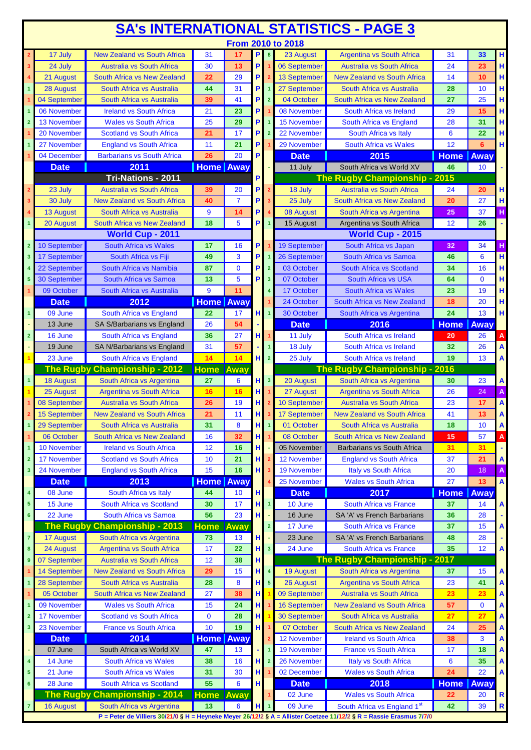|                         | <b>SA's INTERNATIONAL STATISTICS - PAGE 3</b> |                                                               |                        |                |        |                         |                      |                                                                                                                     |             |              |                           |  |
|-------------------------|-----------------------------------------------|---------------------------------------------------------------|------------------------|----------------|--------|-------------------------|----------------------|---------------------------------------------------------------------------------------------------------------------|-------------|--------------|---------------------------|--|
|                         |                                               |                                                               |                        |                |        |                         | From 2010 to 2018    |                                                                                                                     |             |              |                           |  |
|                         | 17 July                                       | <b>New Zealand vs South Africa</b>                            | 31                     | 17             | P.     | $\overline{\mathbf{8}}$ | 23 August            | <b>Argentina vs South Africa</b>                                                                                    | 31          | 33           | H                         |  |
| 3                       | 24 July                                       | <b>Australia vs South Africa</b>                              | 30                     | 13             | P.     |                         | 06 September         | <b>Australia vs South Africa</b>                                                                                    | 24          | 23           | H                         |  |
|                         | 21 August                                     | South Africa vs New Zealand                                   | 22                     | 29             | P      |                         | <b>13 September</b>  | <b>New Zealand vs South Africa</b>                                                                                  | 14          | 10           | H                         |  |
| 1                       | 28 August                                     | South Africa vs Australia                                     | 44                     | 31             | P      | $\mathbf{1}$            | 27 September         | <b>South Africa vs Australia</b>                                                                                    | 28          | 10           | H                         |  |
|                         | 04 September                                  | South Africa vs Australia                                     | 39                     | 41             | P      | $\overline{2}$          | 04 October           | South Africa vs New Zealand                                                                                         | 27          | 25           | H                         |  |
|                         | 06 November                                   | <b>Ireland vs South Africa</b>                                | 21                     | 23             | P      |                         | 08 November          | South Africa vs Ireland                                                                                             | 29          | 15           | H                         |  |
| $\overline{2}$          | 13 November                                   | <b>Wales vs South Africa</b>                                  | 25                     | 29             | P      | $\overline{\mathbf{1}}$ | 15 November          | South Africa vs England                                                                                             | 28          | 31           | H                         |  |
|                         | 20 November                                   | <b>Scotland vs South Africa</b>                               | 21                     | 17             | P      | $\overline{2}$          | 22 November          | South Africa vs Italy                                                                                               | 6           | 22           | H                         |  |
|                         | 27 November                                   | <b>England vs South Africa</b>                                | 11                     | 21             | P      |                         | 29 November          | <b>South Africa vs Wales</b>                                                                                        | 12          | 6            | H                         |  |
|                         | 04 December                                   | <b>Barbarians vs South Africa</b>                             | 26                     | 20             | P      |                         | <b>Date</b>          | 2015                                                                                                                | <b>Home</b> | Away         |                           |  |
|                         | <b>Date</b>                                   | 2011<br>Tri-Nations - 2011                                    | Home Away              |                |        |                         | 11 July              | South Africa vs World XV<br>The Rugby Championship - 2015                                                           | 46          | 10           |                           |  |
|                         | 23 July                                       | <b>Australia vs South Africa</b>                              | 39                     | 20             | P<br>P | $\overline{2}$          | 18 July              | Australia vs South Africa                                                                                           | 24          | 20           | н                         |  |
| 3                       | 30 July                                       | <b>New Zealand vs South Africa</b>                            | 40                     | $\overline{7}$ | P      | 3                       | 25 July              | South Africa vs New Zealand                                                                                         | 20          | 27           |                           |  |
|                         | <b>13 August</b>                              | South Africa vs Australia                                     | 9                      | 14             | P      | 4                       | 08 August            | South Africa vs Argentina                                                                                           | 25          | 37           | Н<br>H                    |  |
| 1                       | 20 August                                     | South Africa vs New Zealand                                   | 18                     | 5              | Р      | $\mathbf{1}$            | 15 August            | Argentina vs South Africa                                                                                           | 12          | 26           | ÷,                        |  |
|                         |                                               | World Cup - 2011                                              |                        |                |        |                         |                      | World Cup - 2015                                                                                                    |             |              |                           |  |
| $\overline{2}$          | 10 September                                  | South Africa vs Wales                                         | 17                     | 16             | P      |                         | 19 September         | South Africa vs Japan                                                                                               | 32          | 34           | н                         |  |
| 3                       | 17 September                                  | South Africa vs Fiji                                          | 49                     | 3              | P      | $\mathbf{1}$            | 26 September         | South Africa vs Samoa                                                                                               | 46          | 6            | H                         |  |
|                         | 22 September                                  | South Africa vs Namibia                                       | 87                     | $\mathbf{0}$   | P      | $\overline{2}$          | 03 October           | South Africa vs Scotland                                                                                            | 34          | 16           | H                         |  |
| 5                       | 30 September                                  | South Africa vs Samoa                                         | 13                     | 5              | P      | 3 <sup>2</sup>          | 07 October           | South Africa vs USA                                                                                                 | 64          | $\mathbf{0}$ | H                         |  |
|                         | 09 October                                    | South Africa vs Australia                                     | 9                      | 11             |        | $\overline{a}$          | 17 October           | <b>South Africa vs Wales</b>                                                                                        | 23          | 19           | H                         |  |
|                         | <b>Date</b>                                   | 2012                                                          | <b>Home</b> Away       |                |        |                         | 24 October           | South Africa vs New Zealand                                                                                         | 18          | 20           | H                         |  |
| $\overline{\mathbf{1}}$ | 09 June                                       | South Africa vs England                                       | 22                     | 17             | нι     | $\blacktriangleleft$    | 30 October           | South Africa vs Argentina                                                                                           | 24          | 13           | H                         |  |
|                         | 13 June                                       | SA S/Barbarians vs England                                    | 26                     | 54             |        |                         | <b>Date</b>          | 2016                                                                                                                | <b>Home</b> | Away         |                           |  |
| $\overline{2}$          | 16 June                                       | South Africa vs England                                       | 36                     | 27             | нΙ     | $\mathbf{1}$            | 11 July              | South Africa vs Ireland                                                                                             | 20          | 26           | $\mathbf{A}$              |  |
|                         | 19 June                                       | SA N/Barbarians vs England                                    | 31                     | 57             |        | $\overline{1}$          | 18 July              | South Africa vs Ireland                                                                                             | 32          | 26           | A                         |  |
|                         | 23 June                                       | South Africa vs England                                       | 14                     | 14             | нI     | $\overline{2}$          | 25 July              | South Africa vs Ireland                                                                                             | 19          | 13           | $\boldsymbol{\mathsf{A}}$ |  |
|                         |                                               | The Rugby Championship - 2012                                 | <b>Home</b>            | Away           |        |                         |                      | The Rugby Championship - 2016                                                                                       |             |              |                           |  |
| $\overline{1}$          | <b>18 August</b>                              | South Africa vs Argentina                                     | 27                     | 6              | H.     | $\overline{\mathbf{3}}$ | 20 August            | South Africa vs Argentina                                                                                           | 30          | 23           | A                         |  |
|                         | 25 August                                     | <b>Argentina vs South Africa</b>                              | 16                     | 16             | H.     |                         | 27 August            | <b>Argentina vs South Africa</b>                                                                                    | 26          | 24           | A                         |  |
|                         | 08 September                                  | Australia vs South Africa                                     | 26                     | 19             | н      |                         | 10 September         | <b>Australia vs South Africa</b>                                                                                    | 23          | 17           | A                         |  |
|                         | 15 September                                  | <b>New Zealand vs South Africa</b>                            | 21                     | 11             | H      |                         | 17 September         | <b>New Zealand vs South Africa</b>                                                                                  | 41          | 13           | A                         |  |
|                         | 29 September                                  | South Africa vs Australia                                     | 31                     | 8              | H.     | $\mathbf{1}$            | 01 October           | South Africa vs Australia                                                                                           | 18          | 10           | A                         |  |
|                         | 06 October                                    | South Africa vs New Zealand                                   | 16                     | 32             | H      | $\mathbf{1}$            | 08 October           | South Africa vs New Zealand                                                                                         | 15          | 57           | A                         |  |
| 1                       | 10 November                                   | <b>Ireland vs South Africa</b>                                | 12                     | 16             | н      |                         | 05 November          | <b>Barbarians vs South Africa</b>                                                                                   | 31          | 31           | ٠                         |  |
| $\overline{2}$          | 17 November                                   | <b>Scotland vs South Africa</b>                               | 10                     | 21             | н      |                         | <b>12 November</b>   | <b>England vs South Africa</b>                                                                                      | 37          | 21           | A                         |  |
| 3                       | 24 November                                   | <b>England vs South Africa</b>                                | 15                     | 16             | нΙ     | 3                       | 19 November          | Italy vs South Africa                                                                                               | 20          | 18           | A                         |  |
|                         | <b>Date</b>                                   | 2013                                                          | Home                   | Away           |        |                         | 25 November          | <b>Wales vs South Africa</b>                                                                                        | 27          | 13           | $\boldsymbol{\mathsf{A}}$ |  |
| $\overline{\mathbf{4}}$ | 08 June                                       | South Africa vs Italy                                         | 44                     | 10             | H      |                         | <b>Date</b>          | 2017                                                                                                                | <b>Home</b> | <b>Away</b>  |                           |  |
| 5 <sub>5</sub>          | 15 June                                       | South Africa vs Scotland                                      | 30                     | 17             |        | $H_1$ 1                 | $\overline{10}$ June | South Africa vs France                                                                                              | 37          | 14           | A                         |  |
| 6                       | 22 June                                       | South Africa vs Samoa                                         | 56                     | 23             | H      |                         | 16 June<br>17 June   | SA 'A' vs French Barbarians<br>South Africa vs France                                                               | 36<br>37    | 28<br>15     |                           |  |
| $\overline{7}$          |                                               | The Rugby Championship - 2013                                 | <b>Home Away</b><br>73 | 13             | H      | $\overline{\mathbf{2}}$ | 23 June              | SA 'A' vs French Barbarians                                                                                         | 48          | 28           | A                         |  |
| 8                       | <b>17 August</b><br>24 August                 | South Africa vs Argentina<br><b>Argentina vs South Africa</b> | 17                     | 22             | H      | $\overline{\mathbf{3}}$ | 24 June              | South Africa vs France                                                                                              | 35          | 12           | $\boldsymbol{\mathsf{A}}$ |  |
| $\boldsymbol{9}$        | 07 September                                  | <b>Australia vs South Africa</b>                              | 12                     | 38             | н      |                         |                      | The Rugby Championship - 2017                                                                                       |             |              |                           |  |
|                         | 14 September                                  | <b>New Zealand vs South Africa</b>                            | 29                     | 15             | H.     | $\overline{\mathbf{4}}$ | <b>19 August</b>     | South Africa vs Argentina                                                                                           | 37          | 15           | A                         |  |
| 1                       | 28 September                                  | South Africa vs Australia                                     | 28                     | 8              | H.     | $\overline{\mathbf{5}}$ | 26 August            | <b>Argentina vs South Africa</b>                                                                                    | 23          | 41           | A                         |  |
|                         | 05 October                                    | South Africa vs New Zealand                                   | 27                     | 38             | H      |                         | 09 September         | <b>Australia vs South Africa</b>                                                                                    | 23          | 23           | A                         |  |
| 1                       | 09 November                                   | <b>Wales vs South Africa</b>                                  | 15                     | 24             | H      |                         | <b>16 September</b>  | <b>New Zealand vs South Africa</b>                                                                                  | 57          | $\mathbf 0$  | A                         |  |
| $\overline{2}$          | <b>17 November</b>                            | <b>Scotland vs South Africa</b>                               | $\mathbf 0$            | 28             | H      |                         | 30 September         | South Africa vs Australia                                                                                           | 27          | 27           | A                         |  |
| 3                       | 23 November                                   | <b>France vs South Africa</b>                                 | 10                     | 19             | нΙ     |                         | 07 October           | South Africa vs New Zealand                                                                                         | 24          | 25           | A                         |  |
|                         | <b>Date</b>                                   | 2014                                                          | <b>Home</b> Away       |                |        |                         | 12 November          | <b>Ireland vs South Africa</b>                                                                                      | 38          | 3            | A                         |  |
|                         | 07 June                                       | South Africa vs World XV                                      | 47                     | 13             |        | 1                       | <b>19 November</b>   | <b>France vs South Africa</b>                                                                                       | 17          | 18           | A                         |  |
| $\overline{\mathbf{4}}$ | 14 June                                       | South Africa vs Wales                                         | 38                     | 16             | H      | $\overline{2}$          | 26 November          | <b>Italy vs South Africa</b>                                                                                        | 6           | 35           | A                         |  |
| $5\phantom{.0}$         | 21 June                                       | South Africa vs Wales                                         | 31                     | 30             | н.     |                         | 02 December          | <b>Wales vs South Africa</b>                                                                                        | 24          | 22           | A                         |  |
| $6\phantom{a}$          | 28 June                                       | South Africa vs Scotland                                      | 55                     | 6              | H      |                         | <b>Date</b>          | 2018                                                                                                                | <b>Home</b> | Away         |                           |  |
|                         |                                               | The Rugby Championship - 2014                                 | <b>Home</b>            | Away           |        |                         | 02 June              | <b>Wales vs South Africa</b>                                                                                        | 22          | 20           | ${\sf R}$                 |  |
| $\overline{7}$          | <b>16 August</b>                              | South Africa vs Argentina                                     | 13                     | 6              | н.     | $\mathbf{1}$            | 09 June              | South Africa vs England 1st                                                                                         | 42          | 39           | $\mathbf R$               |  |
|                         |                                               |                                                               |                        |                |        |                         |                      | P = Peter de Villiers 30/21/0 § H = Heyneke Meyer 26/12/2 § A = Allister Coetzee 11/12/2 § R = Rassie Erasmus 7/7/0 |             |              |                           |  |